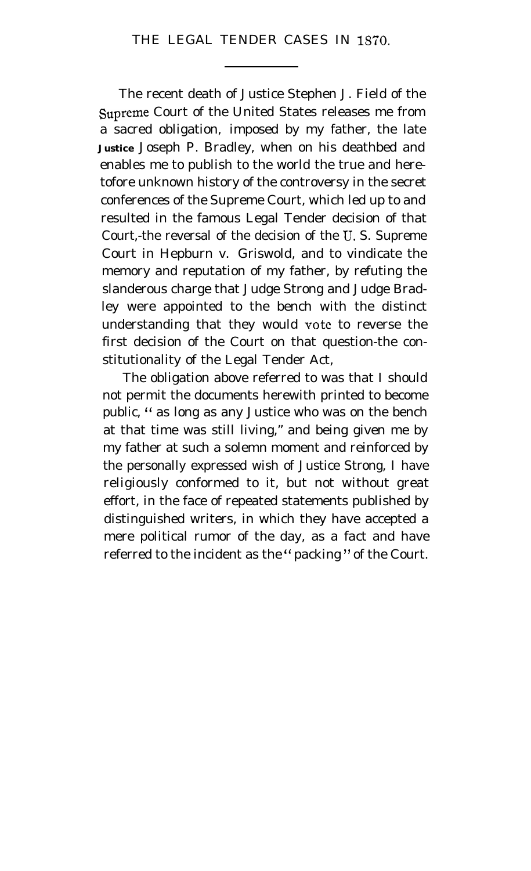The recent death of Justice Stephen J. Field of the Supreme Court of the United States releases me from a sacred obligation, imposed by my father, the late **Justice** Joseph P. Bradley, when on his deathbed and enables me to publish to the world the true and heretofore unknown history of the controversy in the secret conferences of the Supreme Court, which led up to and resulted in the famous Legal Tender decision of that Court,-the reversal of the decision of the U. S. Supreme Court in Hepburn v. Griswold, and to vindicate the memory and reputation of my father, by refuting the slanderous charge that Judge Strong and Judge Bradley were appointed to the bench with the distinct understanding that they would vote to reverse the first decision of the Court on that question-the constitutionality of the Legal Tender Act,

The obligation above referred to was that I should not permit the documents herewith printed to become public, " as long as any Justice who was on the bench at that time was still living," and being given me by my father at such a solemn moment and reinforced by the personally expressed wish of Justice Strong, I have religiously conformed to it, but not without great effort, in the face of repeated statements published by distinguished writers, in which they have accepted a mere political rumor of the day, as a *fact* and have referred to the incident as the " packing " of the Court.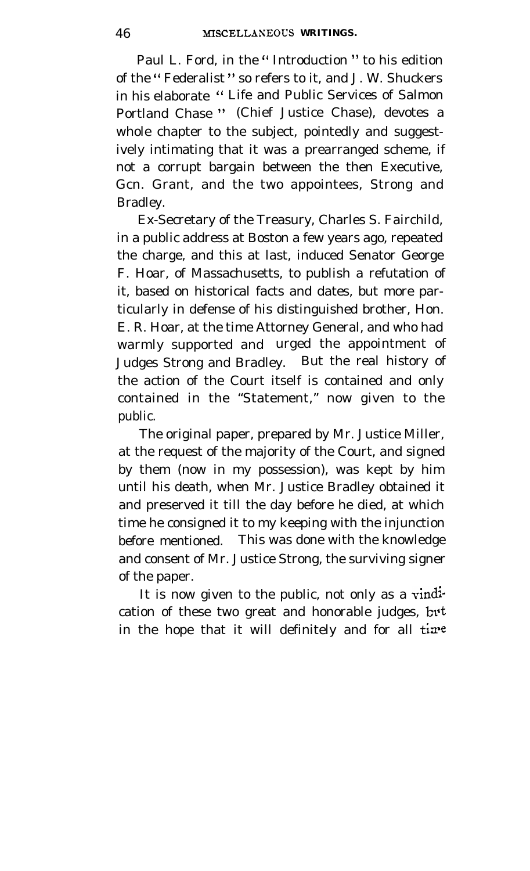Paul L. Ford, in the " Introduction " to his edition of the " Federalist " so refers to it, and J. W. Shuckers in his elaborate " Life and Public Services of Salmon Portland Chase " (Chief Justice Chase), devotes a whole chapter to the subject, pointedly and suggestively intimating that it was a prearranged scheme, if not a corrupt bargain between the then Executive, Gcn. Grant, and the two appointees, Strong and Bradley.

Ex-Secretary of the Treasury, Charles S. Fairchild, in a public address at Boston a few years ago, repeated the charge, and this at last, induced Senator George F. Hoar, of Massachusetts, to publish a refutation of it, based on historical facts and dates, but more particularly in defense of his distinguished brother, Hon. E. R. Hoar, at the time Attorney General, and who had warmly supported and urged the appointment of Judges Strong and Bradley. But the real history of the action of the Court itself is contained and only contained in the "Statement," now given to the public.

The original paper, prepared by Mr. Justice Miller, at the request of the majority of the Court, and signed by them (now in my possession), was kept by him until his death, when Mr. Justice Bradley obtained it and preserved it till the day before he died, at which time he consigned it to my keeping with the injunction before mentioned. This was done with the knowledge and consent of Mr. Justice Strong, the surviving signer of the paper.

It is now given to the public, not only as a vindication of these two great and honorable judges,  $b^{i}t$ in the hope that it will definitely and for all time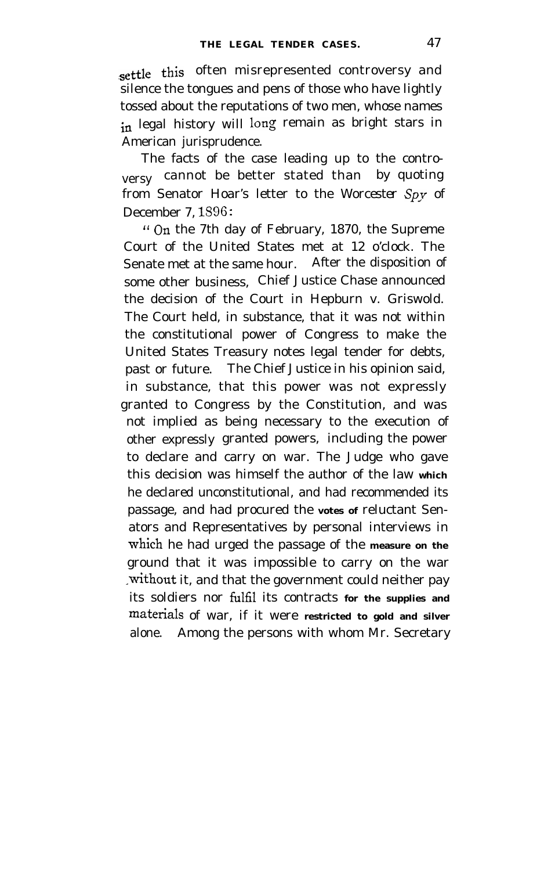settle this often misrepresented controversy and silence the tongues and pens of those who have lightly tossed about the reputations of two men, whose names in legal history will long remain as bright stars in American jurisprudence.

The facts of the case leading up to the controversy cannot be better stated than by quoting from Senator Hoar's letter to the *Worcester Spy* of December 7, IS96 :

 $\cdot$  On the 7th day of February, 1870, the Supreme Court of the United States met at 12 o'clock. The Senate met at the same hour. After the disposition of some other business, Chief Justice Chase announced the decision of the Court in Hepburn v. Griswold. The Court held, in substance, that it was not within the constitutional power of Congress to make the United States Treasury notes legal tender for debts, past or future. The Chief Justice in his opinion said, in substance, that this power was not expressly granted to Congress by the Constitution, and was not implied as being necessary to the execution of other expressly granted powers, including the power to declare and carry on war. The Judge who gave this decision was himself the author of the law **which** he declared unconstitutional, and had recommended its passage, and had procured the **votes of** reluctant Senators and Representatives by personal interviews in which he had urged the passage of the **measure on the** ground that it was impossible to carry on the war without it, and that the government could neither pay its soldiers nor fulfil its contracts **for the supplies and materials** of war, if it were **restricted to gold and silver** alone. Among the persons with whom Mr. Secretary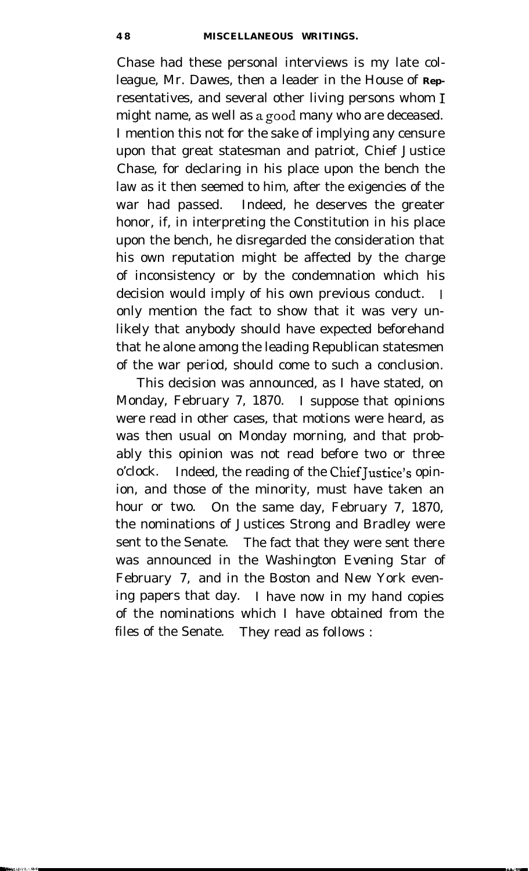Chase had these personal interviews is my late colleague, Mr. Dawes, then a leader in the House of **Rep**resentatives, and several other living persons whom 1 might name, as well as agood many who are deceased. I mention this not for the sake of implying any censure upon that great statesman and patriot, Chief Justice Chase, for declaring in his place upon the bench the law as it then seemed to him, after the exigencies of the war had passed. Indeed, he deserves the greater honor, if, in interpreting the Constitution in his place upon the bench, he disregarded the consideration that his own reputation might be affected by the charge of inconsistency or by the condemnation which his decision would imply of his own previous conduct. I only mention the fact to show that it was very unlikely that anybody should have expected beforehand that he alone among the leading Republican statesmen of the war period, should come to such a conclusion.

This decision was announced, as I have stated, on Monday, February 7, 1870. I suppose that opinions were read in other cases, that motions were heard, as was then usual on Monday morning, and that probably this opinion was not read before two or three o'clock. Indeed, the reading of the ChiefJustice's opinion, and those of the minority, must have taken an hour or two. On the same day, February 7, 1870, the nominations of Justices Strong and Bradley were sent to the Senate. The fact that they were sent there was announced in the *Washington Evening Star* of February 7, and in the Boston and New York evening papers that day. I have now in my hand copies of the nominations which I have obtained from the files of the Senate. They read as follows :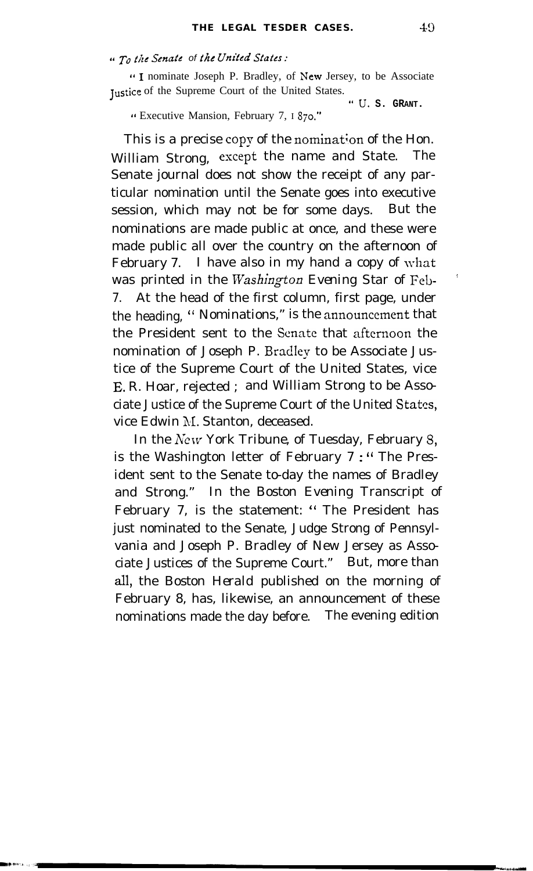#### <sup>44</sup> *TO f/t6* **Senafc** *of Ihe Unifed Sfafcs:*

4' I nominate Joseph P. Bradley, of New Jersey, to be Associate **Justice** of the Supreme Court of the United States.

**'4 U. S. GRANT.**

1' Executive Mansion, February 7, I 870."

This is a precise copy of the nomination of the Hon. William Strong, escept the name and State. The Senate journal does not show the receipt of any particular nomination until the Senate goes into executive session, which may not be for some days. But the nominations are made public at once, and these were made public all over the country on the afternoon of February 7. I have also in my hand a copy of what was printed in the Washington Evening Star of Feb-7. At the head of the first column, first page, under the heading, " Nominations," is the announcement that the President sent to the Scnatc that afternoon the nomination of Joseph P. BradIey to be Associate Justice of the Supreme Court of the United States, vice E. R. Hoar, rejected ; and William Strong to be Associate Justice of the Supreme Court of the United States, vice Edwin M. Stanton, deceased.

In the *New York Tribune,* of Tuesday, February 8, is the Washington letter of February 7 : " The President sent to the Senate to-day the names of Bradley and Strong." In the *Boston Evening Transcript of* February 7, is the statement: " The President has just nominated to the Senate, Judge Strong of Pennsylvania and Joseph P. Bradley of New Jersey as Associate Justices of the Supreme Court." But, more than *all,* the *Boston Herald* published on the morning of February 8, has, likewise, an announcement of these nominations made the day before. The evening edition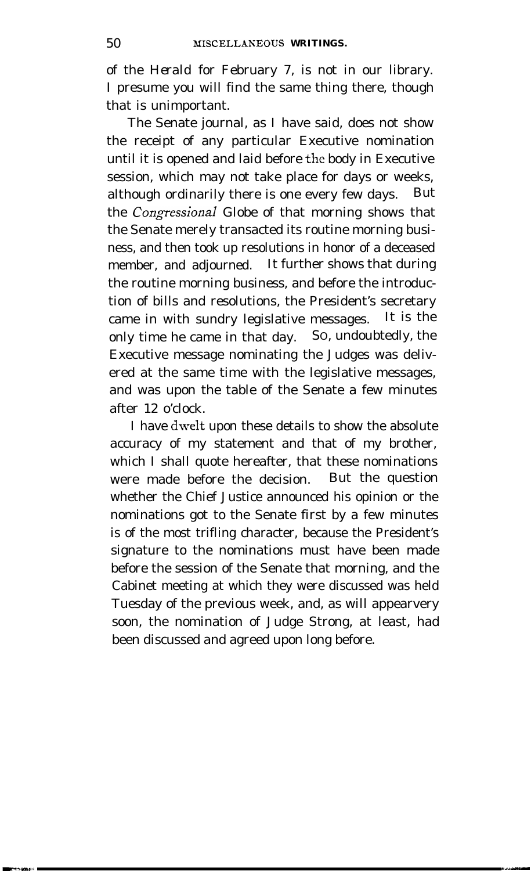of the *Herald* for February 7, is not in our library. I presume you will find the same thing there, though that is unimportant.

The Senate journal, as I have said, does not show the receipt of any particular Executive nomination until it is opened and laid before the body in Executive session, which may not take place for days or weeks, although ordinarily there is one every few days. But the *Congressional Globe* of that morning shows that the Senate merely transacted its routine morning business, and then took up resolutions in honor of a deceased member, and adjourned. It further shows that during the routine morning business, and before the introduction of bills and resolutions, the President's secretary came in with sundry legislative messages. It is the only time he came in that day. SO, undoubtedly, the Executive message nominating the Judges was delivered at the same time with the legislative messages, and was upon the table of the Senate a few minutes after 12 o'clock.

I have dwelt upon these details to show the absolute accuracy of my statement and that of my brother, which I shall quote hereafter, that these nominations were made before the decision. But the question whether the Chief Justice announced his opinion or the nominations got to the Senate first by a few minutes is of the most trifling character, because the President's signature to the nominations must have been made before the session of the Senate that morning, and the Cabinet meeting at which they were discussed was held Tuesday of the previous week, and, as will appearvery soon, the nomination of Judge Strong, at least, had been discussed and agreed upon long before.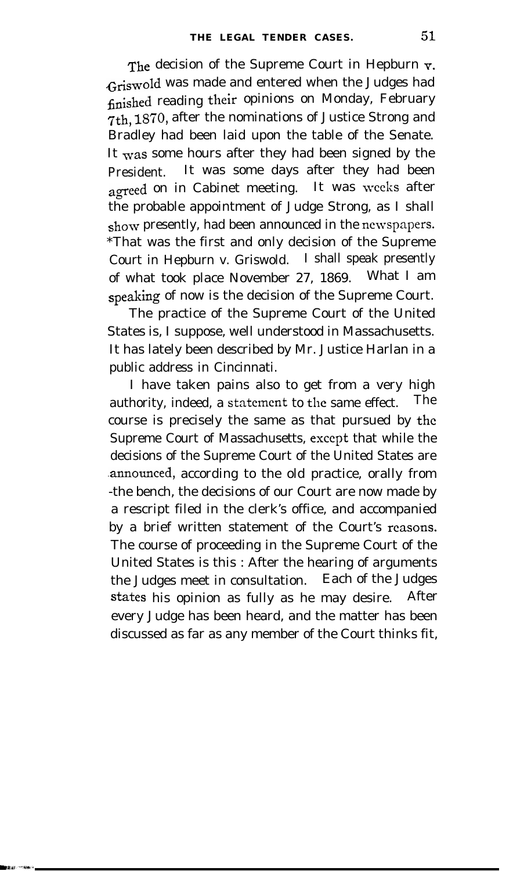The decision of the Supreme Court in Hepburn  $\mathbf{v}$ . ,Griswold was made and entered when the Judges had finished reading their opinions on Monday, February  $7th$ , 1870, after the nominations of Justice Strong and Bradley had been laid upon the table of the Senate. It was some hours after they had been signed by the President. It was some days after they had been agreed on in Cabinet meeting. It was weeks after the probable appointment of Judge Strong, as I shall show presently, had been announced in the newspapers. \*That was the first and only decision of the Supreme Court in Hepburn v. Griswold. I shall speak presently of what took place November 27, 1869. What I am speaking of now is the decision of the Supreme Court.

The practice of the Supreme Court of the United States is, I suppose, well understood in Massachusetts. It has lately been described by Mr. Justice Harlan in a public address in Cincinnati.

I have taken pains also to get from a very high authority, indeed, a statement to the same effect. The course is precisely the same as that pursued by the Supreme Court of Massachusetts, except that while the decisions of the Supreme Court of the United States are .announced, according to the old practice, orally from -the bench, the decisions of our Court are now made by a rescript filed in the clerk's office, and accompanied by a brief written statement of the Court's reasons. The course of proceeding in the Supreme Court of the United States is this : After the hearing of arguments the Judges meet in consultation. Each of the Judges states his opinion as fully as he may desire. After every Judge has been heard, and the matter has been discussed as far as any member of the Court thinks fit,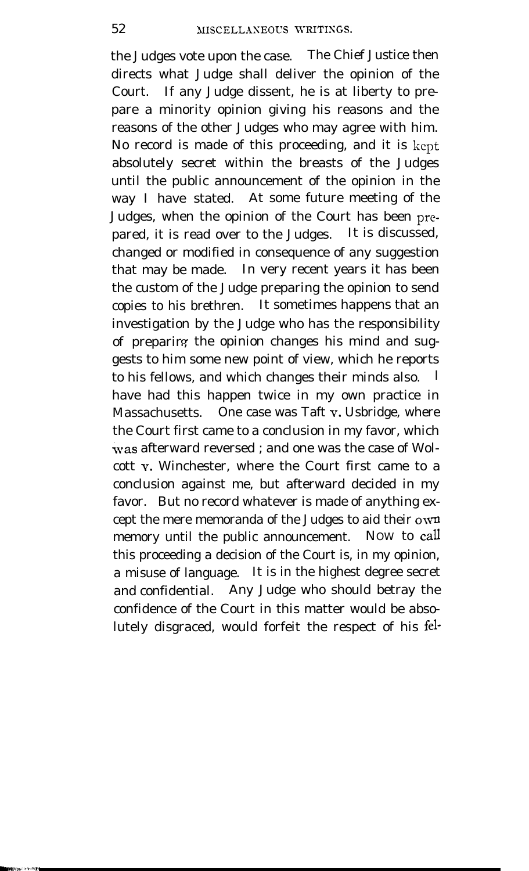the Judges vote upon the case. The Chief Justice then directs what Judge shall deliver the opinion of the Court. If any Judge dissent, he is at liberty to prepare a minority opinion giving his reasons and the reasons of the other Judges who may agree with him. No record is made of this proceeding, and it is kept absolutely secret within the breasts of the Judges until the public announcement of the opinion in the way I have stated. At some future meeting of the Judges, when the opinion of the Court has been prcpared, it is read over to the Judges. It is discussed, changed or modified in consequence of any suggestion that may be made. In very recent years it has been the custom of the Judge preparing the opinion to send copies to his brethren. It sometimes happens that an investigation by the Judge who has the responsibility of preparing the opinion changes his mind and suggests to him some new point of view, which he reports to his fellows, and which changes their minds also. I have had this happen twice in my own practice in Massachusetts. One case was Taft v. Usbridge, where the Court first came to a conclusion in my favor, which was afterward reversed ; and one was the case of Wolcott v. Winchester, where the Court first came to a conclusion against me, but afterward decided in my favor. But no record whatever is made of anything except the mere memoranda of the Judges to aid their own memory until the public announcement. Now to call this proceeding a decision of the Court is, in my opinion, a misuse of language. It is in the highest degree secret and confidential. Any Judge who should betray the confidence of the Court in this matter would be absolutely disgraced, would forfeit the respect of his fel-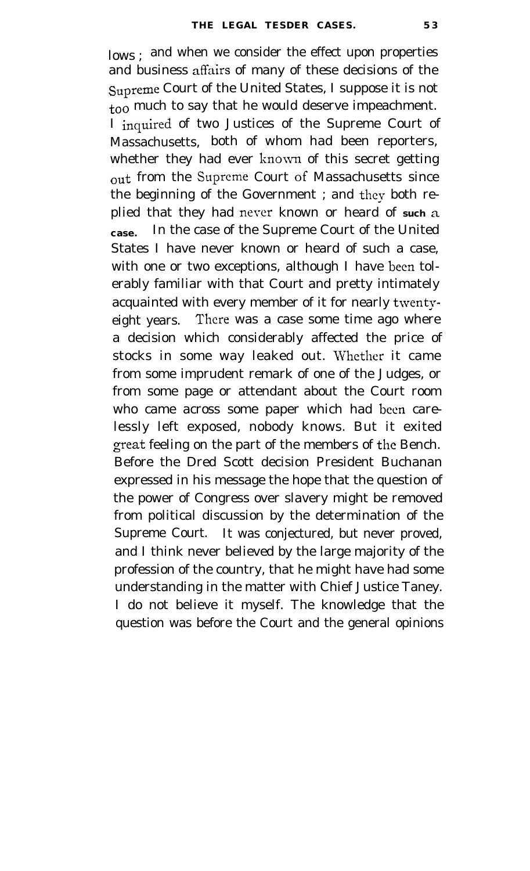*lows ;* and when we consider the effect upon properties and business affairs of many of these decisions of the Supreme Court of the United States, I suppose it is not too much to say that he would deserve impeachment. I inquired of two Justices of the Supreme Court of Massachusetts, both of whom had been reporters, whether they had ever known of this secret getting out from the Supreme Court **of** Massachusetts since the beginning of the Government ; and they both replied that they had never known or heard of such a **case.** In the case of the Supreme Court of the United States I have never known or heard of such a case, with one or two exceptions, although I have been tolerably familiar with that Court and pretty intimately acquainted with every member of it for nearly twentyeight years. There was a case some time ago where a decision which considerably affected the price of stocks in some way leaked out. Whether it came from some imprudent remark of one of the Judges, or from some page or attendant about the Court room who came across some paper which had been carelessly left exposed, nobody knows. But it exited great feeling on the part of the members of the Bench. Before the Dred Scott decision President Buchanan expressed in his message the hope that the question of the power of Congress over slavery might be removed from political discussion by the determination of the Supreme Court. It was conjectured, but never proved, and I think never believed by the large majority of the profession of the country, that he might have had some understanding in the matter with Chief Justice Taney. I do not believe it myself. The knowledge that the question was before the Court and the general opinions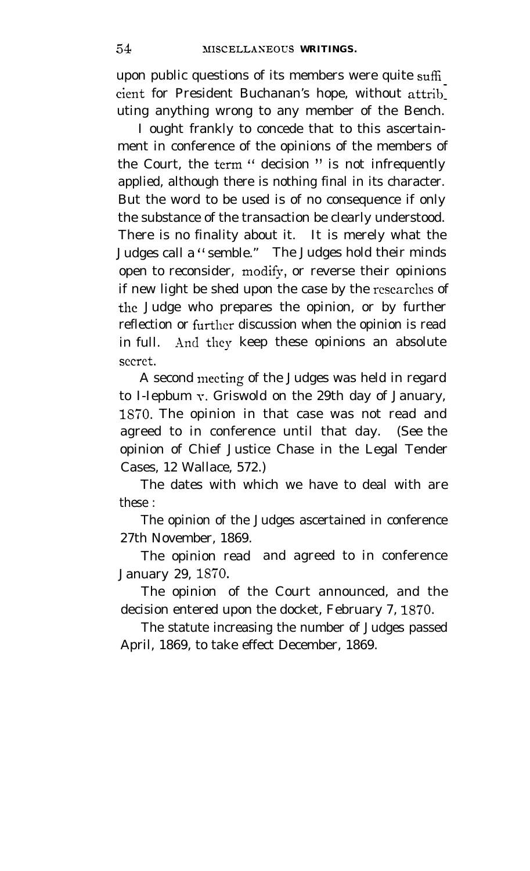upon public questions of its members were quite sufh cient for President Buchanan's hope, without attrib: uting anything wrong to any member of the Bench.

I ought frankly to concede that to this ascertainment in conference of the opinions of the members of the Court, the term " decision " is not infrequently applied, although there is nothing final in its character. But the word to be used is of no consequence if only the substance of the transaction be clearly understood. There is no finality about it. It is merely what the Judges call a " semble." The Judges hold their minds open to reconsider, modify, or reverse their opinions if new light be shed upon the case by the rcscarches of the Judge who prepares the opinion, or by further reflection or further discussion when the opinion is read in full. And they keep these opinions an absolute secret.

A second meeting of the Judges was held in regard to I-Iepbum v. Griswold on the 29th day of January, lS70. The opinion in that case was not read and agreed to in conference until that day. (See the opinion of Chief Justice Chase in the Legal Tender Cases, 12 Wallace, 572.)

The dates with which we have to deal with are these :

The opinion of the Judges ascertained in conference 27th November, 1869.

The opinion read and agreed to in conference January 29, ISfO.

The opinion of the Court announced, and the decision entered upon the docket, February 7, 1870.

The statute increasing the number of Judges passed April, 1869, to take effect December, 1869.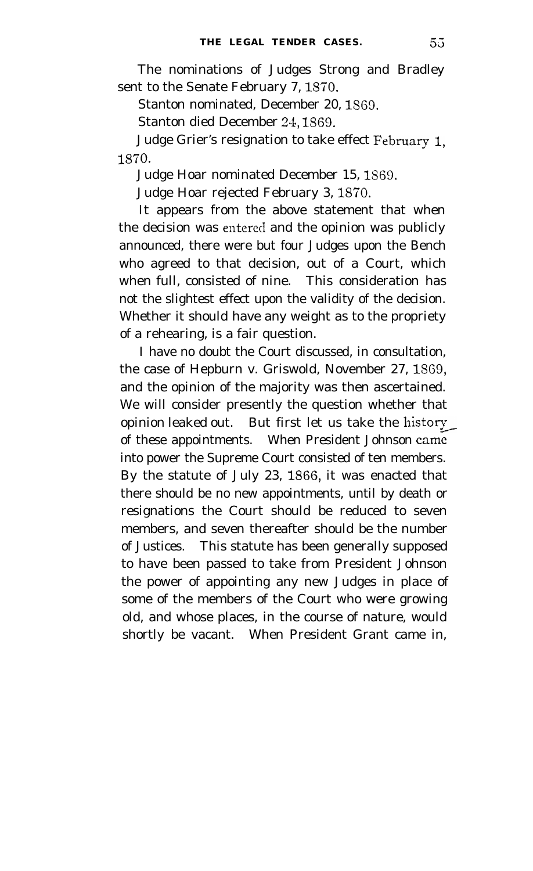The nominations of Judges Strong and Bradley sent to the Senate February 7, 1870.

Stanton nominated, December 20, 1869.

Stanton died December 24, 1369.

Judge Grier's resignation to take effect **February** 1, 1570.

Judge Hoar nominated December 15, lS69.

Judge Hoar rejected February 3, 1870.

It appears from the above statement that when the decision was enterecl and the opinion was publicly announced, there were but four Judges upon the Bench who agreed to that decision, out of a Court, which when full, consisted of nine. This consideration has not the slightest effect upon the validity of the decision. Whether it should have any weight as to the propriety of a rehearing, is a fair question.

I have no doubt the Court discussed, in consultation, the case of Hepburn v. Griswold, November 27, lSG9, and the opinion of the majority was then ascertained. We will consider presently the question whether that opinion leaked out. But first let us take the history of these appointments. When President Johnson came into power the Supreme Court consisted of ten members. By the statute of July 23, 1866, it was enacted that there should be no new appointments, until by death or resignations the Court should be reduced to seven members, and seven thereafter should be the number of Justices. This statute has been generally supposed to have been passed to take from President Johnson the power of appointing any new Judges in place of some of the members of the Court who were growing old, and whose places, in the course of nature, would shortly be vacant. When President Grant came in,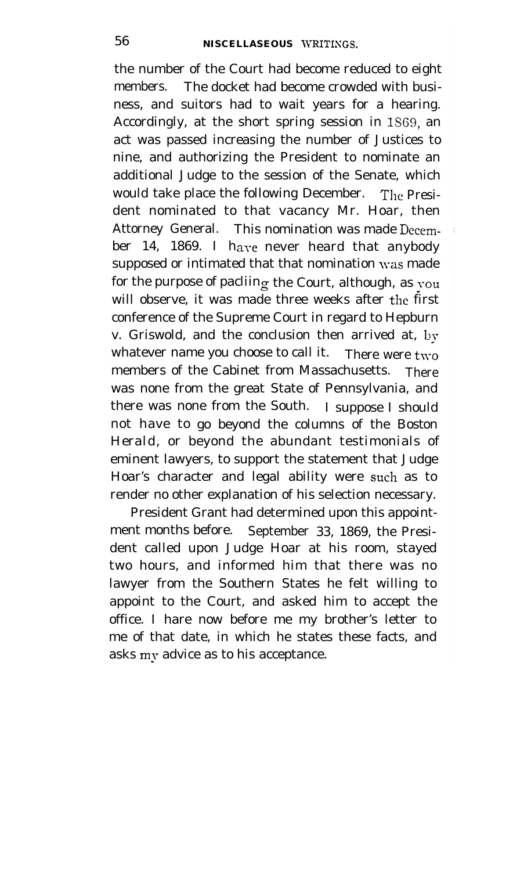the number of the Court had become reduced to eight members. The docket had become crowded with business, and suitors had to wait years for a hearing. Accordingly, at the short spring session in lSG9, an act was passed increasing the number of Justices to nine, and authorizing the President to nominate an additional Judge to the session of the Senate, which would take place the following December. The President nominated to that vacancy Mr. Hoar, then Attorney General. This nomination was made December 14, 1869. I have never heard that anybody supposed or intimated that that nomination was made for the purpose of pacliing the Court, although, as  $\text{you}$ will observe, it was made three weeks after the first conference of the Supreme Court in regard to Hepburn v. Griswold, and the conclusion then arrived at, by whatever name you choose to call it. There were two members of the Cabinet from Massachusetts. There was none from the great State of Pennsylvania, and there was none from the South. I suppose I should not have to go beyond the columns of the *Boston Herald,* or beyond the abundant testimonials of eminent lawyers, to support the statement that Judge Hoar's character and legal ability were such as to render no other explanation of his selection necessary.

President Grant had determined upon this appointment months before. September 33, 1869, the President called upon Judge Hoar at his room, stayed two hours, and informed him that there was no lawyer from the Southern States he felt willing to appoint to the Court, and asked him to accept the office. I hare now before me my brother's letter to me of that date, in which he states these facts, and asks my advice as to his acceptance.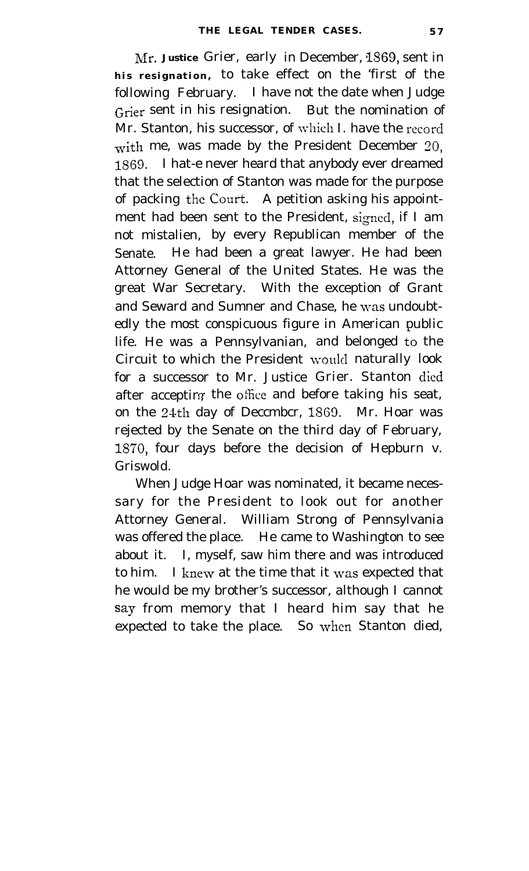Mr. Justice Grier, early in December, 1869, sent in **his resignation,** to take effect on the 'first of the following February. I have not the date when Judge Grier sent in his resignation. But the nomination of Mr. Stanton, his successor, of which I. have the record with me, was made by the President December 20, 1869. I hat-e never heard that anybody ever dreamed that the selection of Stanton was made for the purpose of packing the **Court.** A petition asking his appointment had been sent to the President, signed, if I am not mistalien, by every Republican member of the Senate. He had been a great lawyer. He had been Attorney General of the United States. He was the great War Secretary. With the exception of Grant and Seward and Sumner and Chase, he was undoubtedly the most conspicuous figure in American public life. He was a Pennsylvanian, and belonged to the Circuit to which the President would naturally look for a successor to Mr. Justice Grier. Stanton died after accepting the office and before taking his seat, on the 24th day of Deccmbcr, lSG9. Mr. Hoar was rejected by the Senate on the third day of February, 1870, four days before the decision of Hepburn v. Griswold.

When Judge Hoar was nominated, it became necessary for the President to look out for another Attorney General. William Strong of Pennsylvania was offered the place. He came to Washington to see about it. I, myself, saw him there and was introduced to him. I knew at the time that it was expected that he would be my brother's successor, although I cannot say from memory that I heard him say that he expected to take the place. So when Stanton died,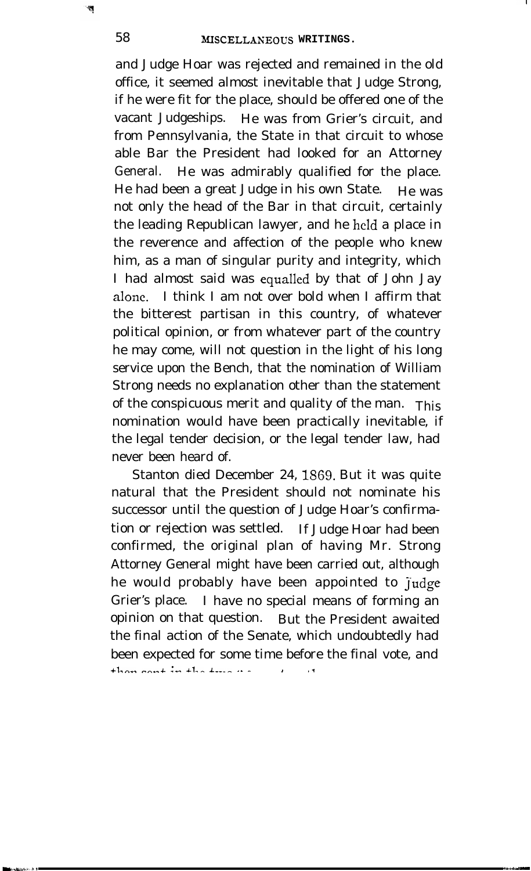and Judge Hoar was rejected and remained in the old office, it seemed almost inevitable that Judge Strong, if he were fit for the place, should be offered one of the vacant Judgeships. He was from Grier's circuit, and from Pennsylvania, the State in that circuit to whose able Bar the President had looked for an Attorney General. He was admirably qualified for the place. He had been a great Judge in his own State. He was not only the head of the Bar in that circuit, certainly the leading Republican lawyer, and he held a place in the reverence and affection of the people who knew him, as a man of singular purity and integrity, which I had almost said was equalled by that of John Jay alone. I think I am not over bold when I affirm that the bitterest partisan in this country, of whatever political opinion, or from whatever part of the country he may come, will not question in the light of his long service upon the Bench, that the nomination of William Strong needs no explanation other than the statement of the conspicuous merit and quality of the man. This nomination would have been practically inevitable, if the legal tender decision, or the legal tender law, had never been heard of.

Stanton died December 24, lS69. But it was quite natural that the President should not nominate his successor until the question of Judge Hoar's confirmation or rejection was settled. If Judge Hoar had been confirmed, the original plan of having Mr. Strong Attorney General might have been carried out, although he would probably have been appointed to judge Grier's place. I have no special means of forming an opinion on that question. But the President awaited the final action of the Senate, which undoubtedly had been expected for some time before the final vote, and **+'1,,, \*-...C :- cl.., I---- .- - <sup>I</sup> ,'(**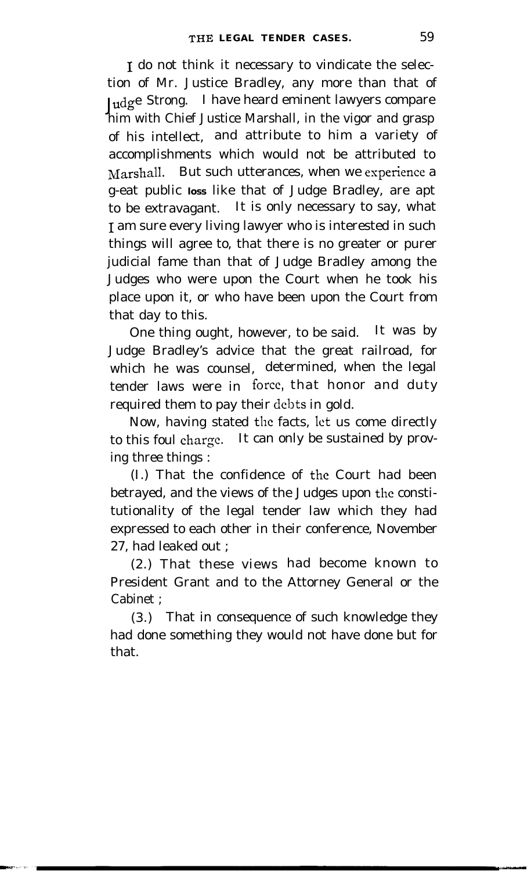1 do not think it necessary to vindicate the selection of Mr. Justice Bradley, any more than that of **Iudge Strong.** I have heard eminent lawyers compare him with Chief Justice Marshall, in the vigor and grasp of his intellect, and attribute to him a variety of accomplishments which would not be attributed to Marshall. But such utterances, when we esperience a g-eat public **loss** like that of Judge Bradley, are apt to be extravagant. It is only necessary to say, what 1 am sure every living lawyer who is interested in such things will agree to, that there is no greater or purer judicial fame than that of Judge Bradley among the Judges who were upon the Court when he took his place upon it, or who have been upon the Court from that day to this.

One thing ought, however, to be said. It was by Judge Bradley's advice that the great railroad, for which he was counsel, determined, when the legal tender laws were in force, that honor and duty required them to pay their debts in gold.

Now, having stated the facts, let us come directly to this foul charge. It can only be sustained by proving three things :

(I.) That the confidence of the Court had been betrayed, and the views of the Judges upon the constitutionality of the legal tender law which they had expressed to each other in their conference, November 27, had leaked out ;

(2.) That these views had become known to President Grant and to the Attorney General or the Cabinet ;

(3.) That in consequence of such knowledge they had done something they would not have done but for that.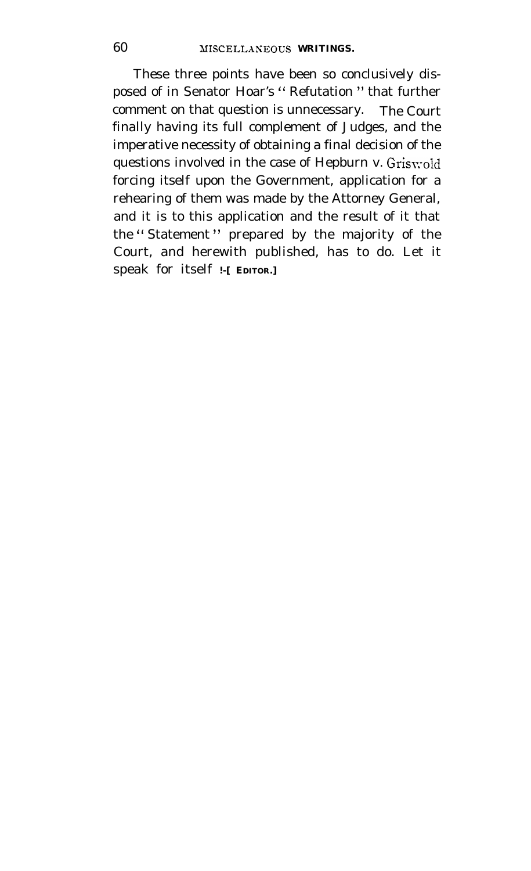These three points have been so conclusively disposed of in Senator Hoar's " Refutation " that further comment on that question is unnecessary. The Court finally having its full complement of Judges, and the imperative necessity of obtaining a final decision of the questions involved in the case of Hepburn v. Griswold forcing itself upon the Government, application for a rehearing of them was made by the Attorney General, and it is to this application and the result of it that the " Statement " prepared by the majority of the Court, and herewith published, has to do. Let it speak for itself **!-[ EDITOR.]**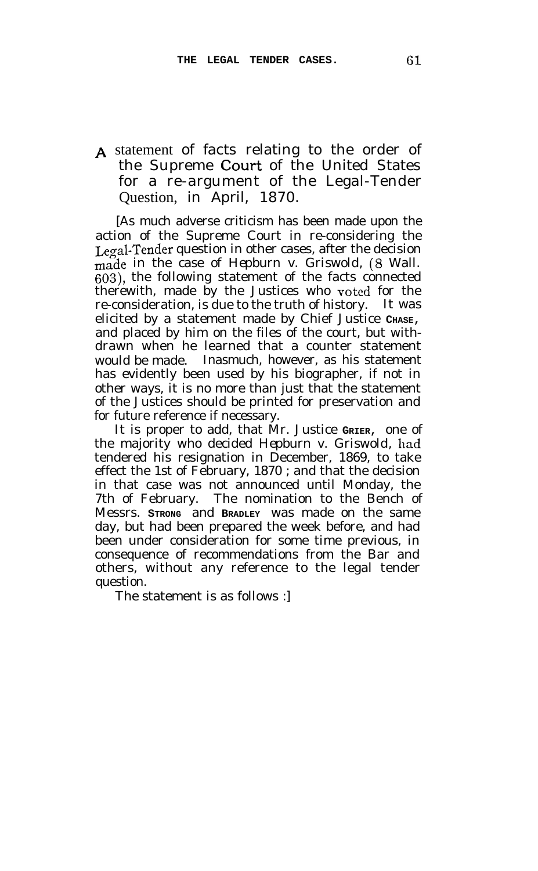A statement of facts relating to the order of the Supreme Court of the United States for a re-argument of the Legal-Tender Question, in April, 1870.

[As much adverse criticism has been made upon the action of the Supreme Court in re-considering the Legal-Tender question in other cases, after the decision *made* in the case of *Hepburn* v. *Griswold,* (8 Wall. 603), the following statement of the facts connected therewith, made by the Justices who voted for the re-consideration, is due to the truth of history. It was elicited by a statement made by Chief Justice **CHASE,** and placed by him on the files of the court, but withdrawn when he learned that a counter statement would be made. Inasmuch, however, as his statement has evidently been used by his biographer, if not in other ways, it is no more than just that the statement of the Justices should be printed for preservation and for future reference if necessary.

It is proper to add, that Mr. Justice **GRIER,** one of the majority who decided *Hepburn v. Griswold,* had tendered his resignation in December, 1869, to take effect the 1st of February, 1870 ; and that the decision in that case was not announced until Monday, the 7th of February. The nomination to the Bench of Messrs. **STRONG** and **BRADLEY** was made on the same day, but had been prepared the week before, and had been under consideration for some time previous, in consequence of recommendations from the Bar and others, without any reference to the legal tender question.

The statement is as follows :]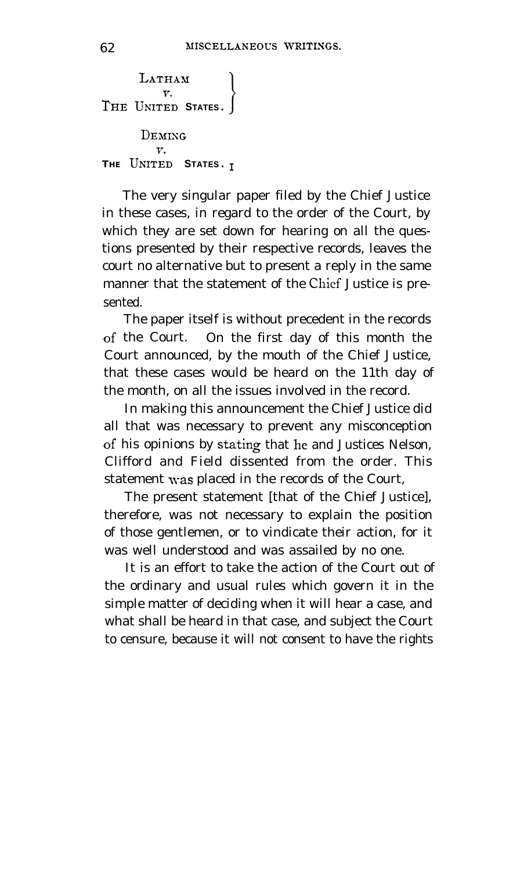LATHAM **.**  $THE UNITED$  STATES. **DEMISG**  $\overline{\mathbf{V}}$ . **<sup>T</sup>HE UNITYED STATES. <sup>I</sup>**

The very singular paper filed by the Chief Justice in these cases, in regard to the order of the Court, by which they are set down for hearing on all the questions presented by their respective records, leaves the court no alternative but to present a reply in the same manner that the statement of the Chief Justice is presented.

The paper itself is without precedent in the records .of the Court. On the first day of this month the Court announced, by the mouth of the Chief Justice, that these cases would be heard on the 11th day of the month, on all the issues involved in the record.

In making this announcement the Chief Justice did all that was necessary to prevent any misconception of his opinions by stating that he and Justices Nelson, Clifford and Field dissented from the order. This statement xas placed in the records of the Court,

The present statement [that of the Chief Justice], therefore, was not necessary to explain the position of those gentlemen, or to vindicate their action, for it was well understood and was assailed by no one.

It is an effort to take the action of the Court out of the ordinary and usual rules which govern it in the simple matter of deciding when it will hear a case, and what shall be heard in that case, and subject the Court to censure, because it will not consent to have the rights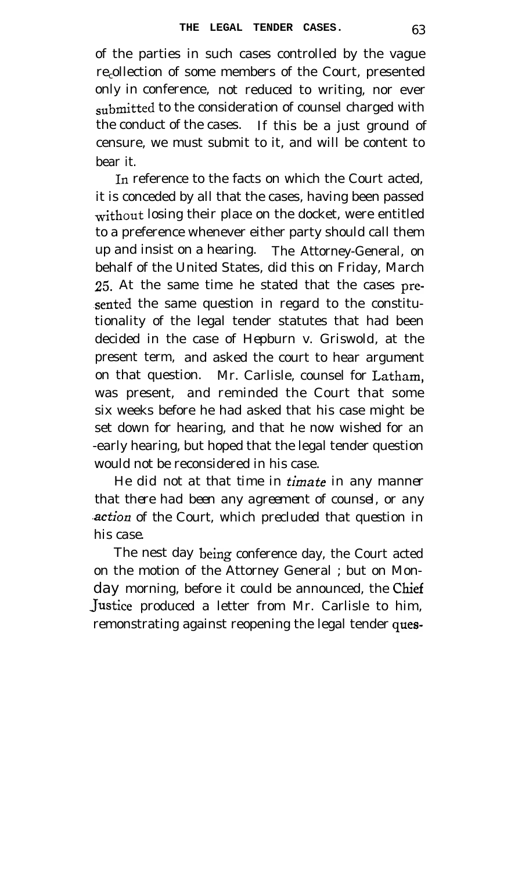of the parties in such cases controlled by the vague re-ollection of some members of the Court, presented only in conference, not reduced to writing, nor ever submitted to the consideration of counsel charged with the conduct of the cases. If this be a just ground of censure, we must submit to it, and will be content to bear it.

In reference to the facts on which the Court acted, it is conceded by all that the cases, having been passed without losing their place on the docket, were entitled to a preference whenever either party should call them up and insist on a hearing. The Attorney-General, on behalf of the United States, did this on Friday, March 25. At the same time he stated that the cases pre sented the same question in regard to the constitutionality of the legal tender statutes that had been decided in the case of *Hepburn v. Griswold,* at the present term, and asked the court to hear argument on that question. Mr. Carlisle, counsel for Latham, was present, and reminded the Court that some six weeks before he had asked that his case might be set down for hearing, and that he now wished for an -early hearing, but hoped that the legal tender question would not be reconsidered in his case.

*He did not at that time in timate in any manner that there had been any agreement of counsel, or any .action of the Court, which precluded that question in his case.*

The nest day being conference day, the Court acted on the motion of the Attorney General ; but on Monday morning, before it could be announced, the Chief Justice produced a letter from Mr. Carlisle to him, remonstrating against reopening the legal tender ques-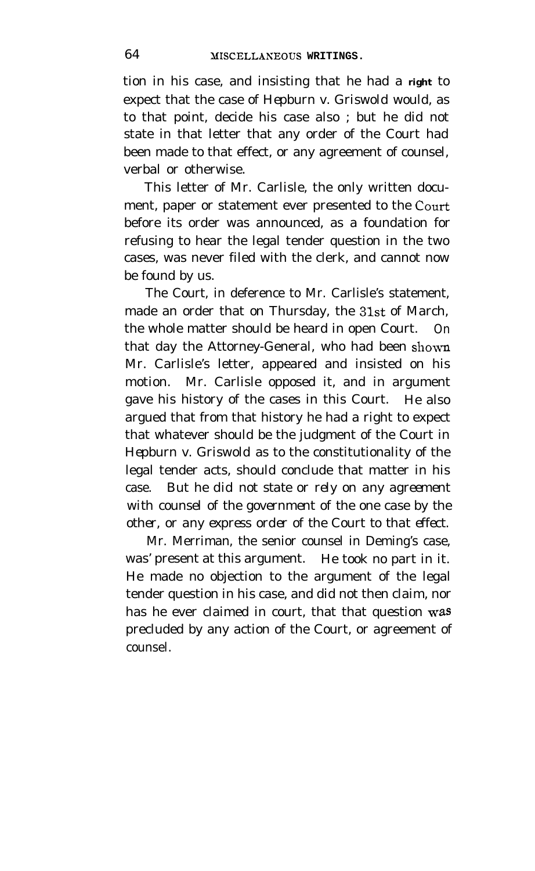tion in his case, and insisting that he had a **right** to expect that the case of *Hepburn v. Griswold* would, as to that point, decide his case also ; but he did not state in that letter that any order of the Court had been made to that effect, or any agreement of counsel, verbal or otherwise.

This letter of Mr. Carlisle, the only written document, paper or statement ever presented to the **Court** before its order was announced, as a foundation for refusing to hear the legal tender question in the two cases, was never filed with the clerk, and cannot now be found by us.

The Court, in deference to Mr. Carlisle's statement, made an order that on Thursday, the 31st of March, the whole matter should be heard in open Court. On that day the Attorney-General, who had been shown Mr. Carlisle's letter, appeared and insisted on his motion. Mr. Carlisle opposed it, and in argument gave his history of the cases in this Court. He also argued that from that history he had a right to expect that whatever should be the judgment of the Court in *Hepburn v. Griswold* as to the constitutionality of the legal tender acts, should conclude that matter in his case. *But he did not state or rely on any agreement with counsel of the government of the one case by the other, or any express order of the Court to that effect.*

Mr. Merriman, the senior counsel in Deming's case, was' present at this argument. He took no part in it. He made no objection to the argument of the legal tender question in his case, and did not then claim, nor has he ever claimed in court, that that question was precluded by any action of the Court, or agreement of counsel.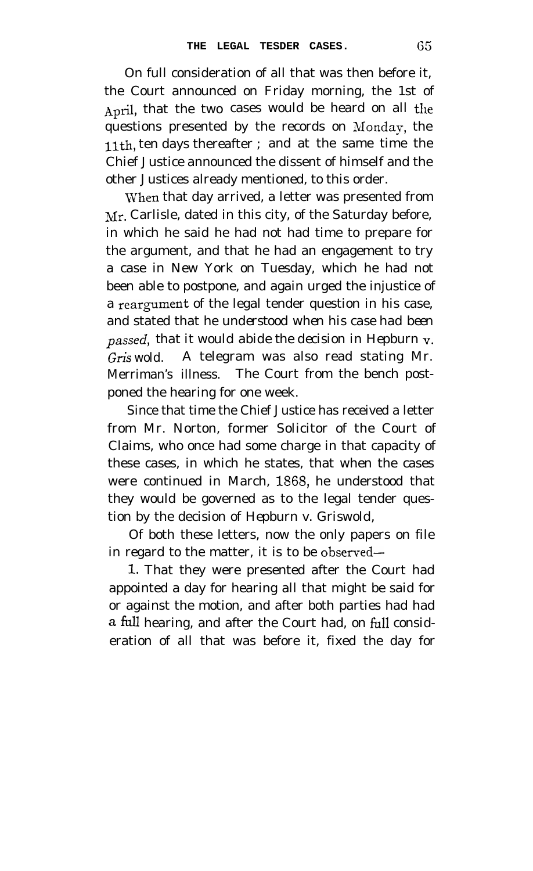On full consideration of all that was then before it, the Court announced on Friday morning, the 1st of April, that the two cases would be heard on all the questions presented by the records on Monday, the 11th, ten days thereafter; and at the same time the Chief Justice announced the dissent of himself and the other Justices already mentioned, to this order.

When that day arrived, a letter was presented from Mr. Carlisle, dated in this city, of the Saturday before, in which he said he had not had time to prepare for the argument, and that he had an engagement to try a case in New York on Tuesday, which he had not been able to postpone, and again urged the injustice of a reargument of the legal tender question in his case, and stated that he *understood when his case had been* **passed,** *that it would abide the decision in Hepburn v.* Gris wold. A telegram was also read stating Mr. Merriman's illness. The Court from the bench postponed the hearing for one week.

Since that time the Chief Justice has received a letter from Mr. Norton, former Solicitor of the Court of Claims, who once had some charge in that capacity of these cases, in which he states, that when the cases were continued in March, lS6S, he understood that they would be governed as to the legal tender question by the decision of *Hepburn v. Griswold,*

Of both these letters, now the only papers on file in regard to the matter, it is to be observed-

1. That they were presented after the Court had appointed a day for hearing all that might be said for or against the motion, and after both parties had had a full hearing, and after the Court had, on full consideration of all that was before it, fixed the day for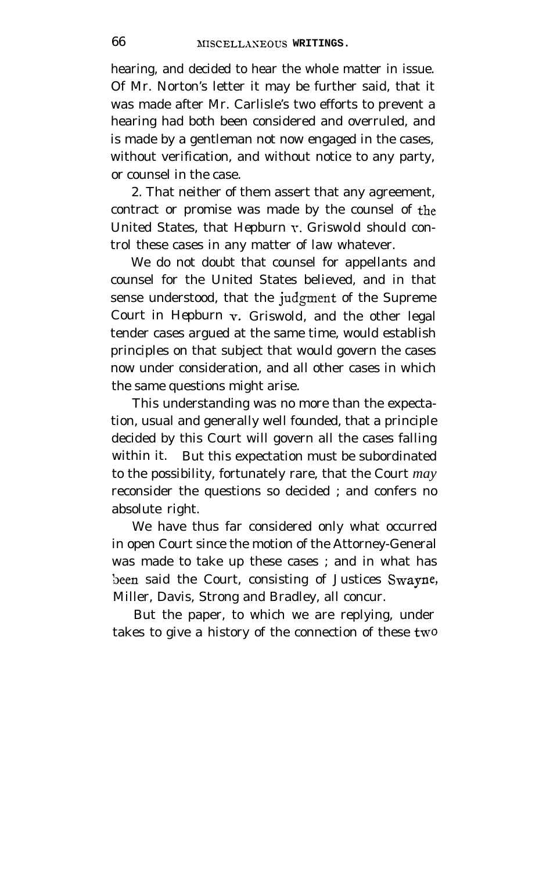hearing, and decided to hear the whole matter in issue. Of Mr. Norton's letter it may be further said, that it was made after Mr. Carlisle's two efforts to prevent a hearing had both been considered and overruled, and is made by a gentleman not now engaged in the cases, without verification, and without notice to any party, or counsel in the case.

2. That neither of them assert that any agreement, contract or promise was made by the counsel of the United States, that *Hepburn* v. *Griswold* should control these cases in any matter of law whatever.

We do not doubt that counsel for appellants and counsel for the United States believed, and in that sense understood, that the judgment of the Supreme *Court* in *Hepburn v. Griswold,* and the other legal tender cases argued at the same time, would establish principles on that subject that would govern the cases now under consideration, and all other cases in which the same questions might arise.

This understanding was no more than the expectation, usual and generally well founded, that a principle decided by this Court will govern all the cases falling within it. But this expectation must be subordinated to the possibility, fortunately rare, that the Court *may* reconsider the questions so decided ; and confers no absolute right.

We have thus far considered only what occurred in open Court since the motion of the Attorney-General was made to take up these cases ; and in what has been said the Court, consisting of Justices Swayne, Miller, Davis, Strong and Bradley, all concur.

But the paper, to which we are replying, under takes to give a history of the connection of these  $two$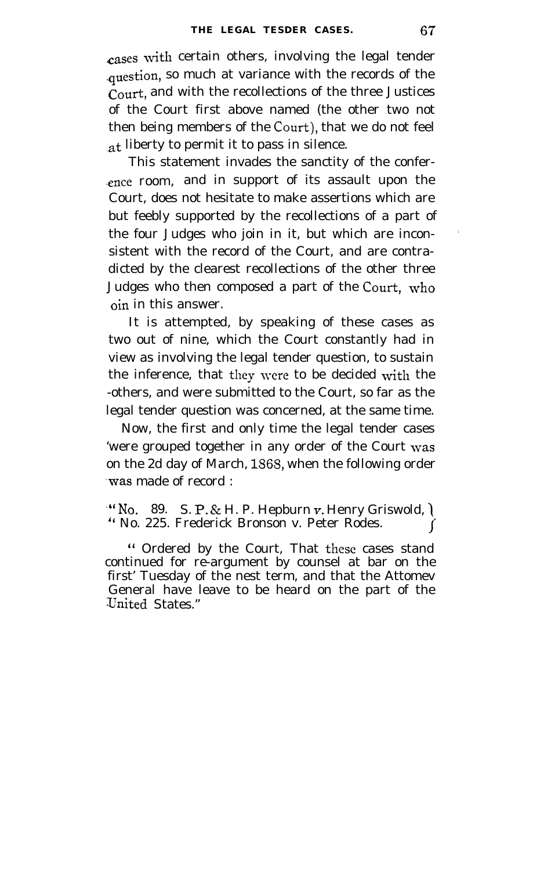cases with certain others, involving the legal tender ,question, so much at variance with the records of the court, and with the recollections of the three Justices of the Court first above named (the other two not then being members of the Court), that we do not feel .at liberty to permit it to pass in silence.

This statement invades the sanctity of the conference room, and in support of its assault upon the Court, does not hesitate to make assertions which are but feebly supported by the recollections of a part of the four Judges who join in it, but which are inconsistent with the record of the Court, and are contradicted by the clearest recollections of the other three Judges who then composed a part of the Court, who oin in this answer.

It is attempted, by speaking of these cases as two out of nine, which the Court constantly had in view as involving the legal tender question, to sustain the inference, that they were to be decided with the -others, and were submitted to the Court, so far as the legal tender question was concerned, at the same time.

Now, the first and only time the legal tender cases 'were grouped together in any order of the Court was on the 2d day of March, 1868, when the following order -was made of record :

"No. 89. S. P. & H. P. Hepburn v. Henry Griswold,  $\lambda$ " No. 225. Frederick Bronson v. Peter Rodes. <sup>J</sup>

" Ordered by the Court, That these cases stand continued for re-argument by counsel at bar on the first' Tuesday of the nest term, and that the Attomev General have leave to be heard on the part of the United States."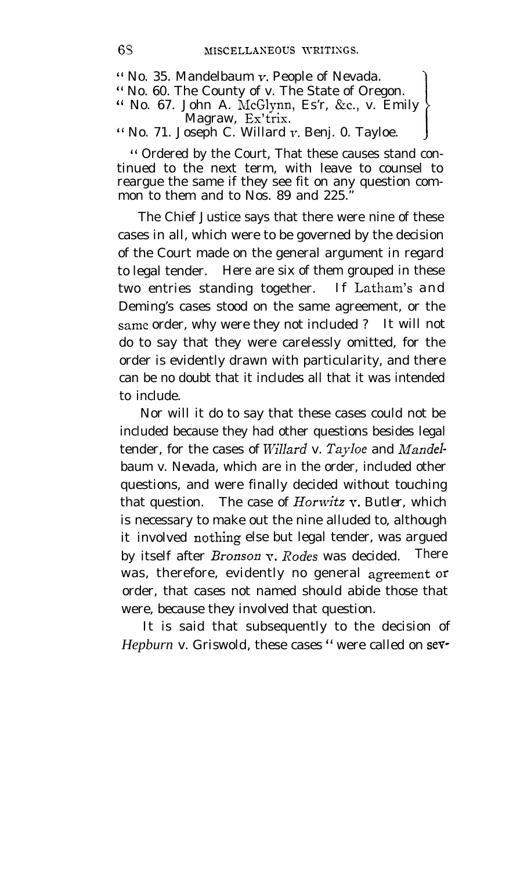" No. 35. Mandelbaum v. People of Nevada. " No. *60.* The County of v. The State of Oregon.

" No. 67. John A. McGlynn, Es'r, &c., v. Emily Magraw, Ex'trix.

" No. 71. Joseph C. Willard v. Benj. 0. Tayloe.

" Ordered by the Court, That these causes stand continued to the next term, with leave to counsel to reargue the same if they see fit on any question common to them and to Nos. 89 and 225.

The Chief Justice says that there were nine of these cases in all, which were to be governed by the decision of the Court made on the general argument in regard to legal tender. Here are six of them grouped in these two entries standing together. If Latham's and Deming's cases stood on the same agreement, or the same order, why were they not included ? It will not do to say that they were carelessly omitted, for the order is evidently drawn with particularity, and there can be no doubt that it includes all that it was intended to include.

Nor will it do to say that these cases could not be included because they had other questions besides legal tender, for the cases of *Willard* v. Tayloe and *Mandelbaum v. Nevada,* which are in the order, included other questions, and were finally decided without touching that question. The case of *Horwitz v. Butler,* which is necessary to make out the nine alluded to, although it involved nothing else but legal tender, was argued by itself after *Bronson P. Rodes* was decided. There was, therefore, evidently no general agreement or order, that cases not named should abide those that were, because they involved that question.

It is said that subsequently to the decision of *Hepburn* v. *Griswold,* these cases " were called on sev-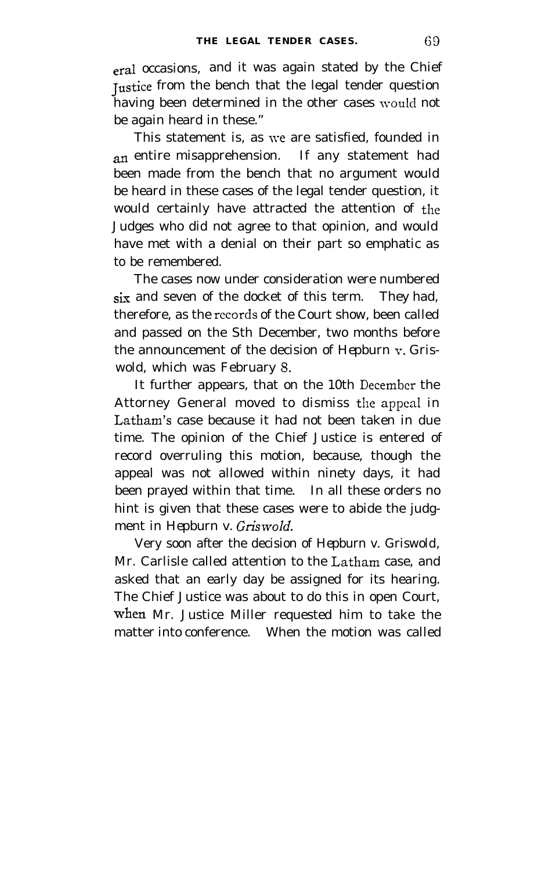era1 occasions, and it was again stated by the Chief **Justice** from the bench that the legal tender question having been determined in the other cases would not be again heard in these."

This statement is, as we are satisfied, founded in an entire misapprehension. If any statement had been made from the bench that no argument would be heard in these cases of the legal tender question, it would certainly have attracted the attention of the Judges who did not agree to that opinion, and would have met with a denial on their part so emphatic as to be remembered.

The cases now under consideration were numbered six and seven of the docket of this term. They had, therefore, as the records of the Court show, been called and passed on the Sth December, two months before the announcement of the decision of *Hepburn v. Gris*wold, which was February 8.

It further appears, that on the 10th December the Attorney General moved to dismiss the appeal in Latham's case because it had not been taken in due time. The opinion of the Chief Justice is entered of record overruling this motion, because, though the appeal was not allowed within ninety days, it had been prayed within that time. In all these orders no hint is given that these cases were to abide the judgment in *Hepburn v. Griswold.* 

Very soon after the decision of *Hepburn v. Griswold,* Mr. Carlisle called attention to the Latham case, and asked that an early day be assigned for its hearing. The Chief Justice was about to do this in open Court, when Mr. Justice Miller requested him to take the matter into conference. When the motion was called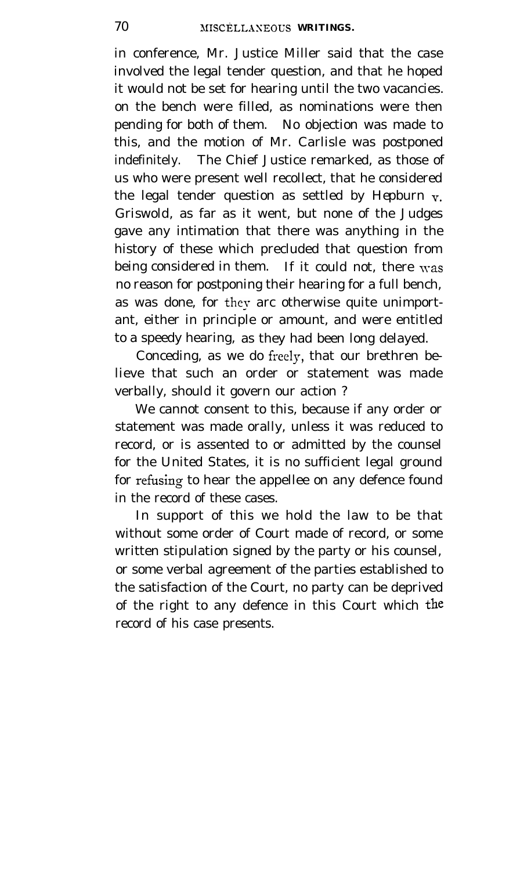in conference, Mr. Justice Miller said that the case involved the legal tender question, and that he hoped it would not be set for hearing until the two vacancies. on the bench were filled, as nominations were then pending for both of them. No objection was made to this, and the motion of Mr. Carlisle was postponed indefinitely. The Chief Justice remarked, as those of us who were present well recollect, that he considered the legal tender question as settled by *Hepburn V. Griswold,* as far as it went, but none of the Judges gave any intimation that there was anything in the history of these which precluded that question from being considered in them. If it could not, there was no reason for postponing their hearing for a full bench, as was done, for they arc otherwise quite unimportant, either in principle or amount, and were entitled to a speedy hearing, as they had been long delayed.

Conceding, as we do freely, that our brethren believe that such an order or statement was made verbally, should it govern our action ?

We cannot consent to this, because if any order or statement was made orally, unless it was reduced to record, or is assented to or admitted by the counsel for the United States, it is no sufficient legal ground for refusing to hear the appellee on any defence found in the record of these cases.

In support of this we hold the law to be that without some order of Court made of record, or some written stipulation signed by the party or his counsel, or some verbal agreement of the parties established to the satisfaction of the Court, no party can be deprived of the right to any defence in this Court which the record of his case presents.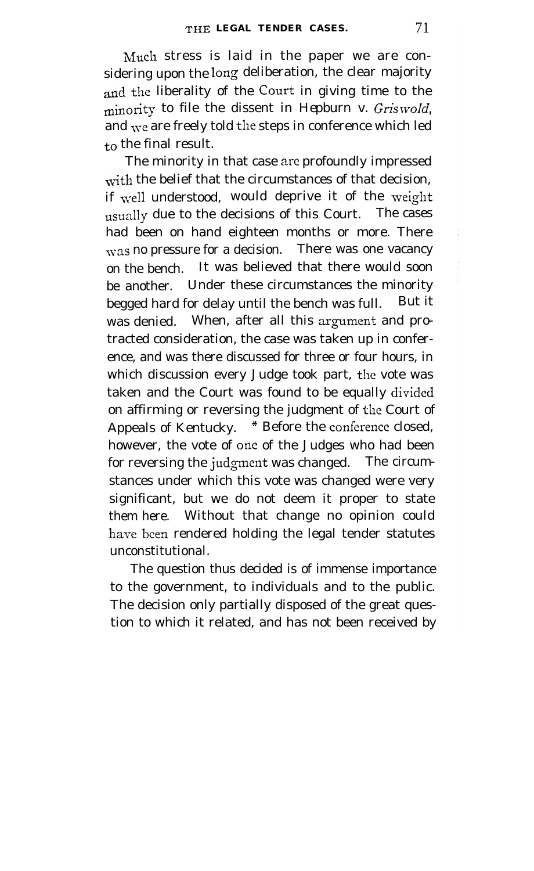Much stress is laid in the paper we are considering upon the long deliberation, the clear majority and the liberality of the Court in giving time to the minority to file the dissent in *Hepburn v. Griswold,* and we are freely told the steps in conference which led to the final result.

The minority in that case **arc** profoundly impressed with the belief that the circumstances of that decision, if well understood, would deprive it of the weight usually due to the decisions of this Court. The cases had been on hand eighteen months or more. There was no pressure for a decision. There was one vacancy on the bench. It was believed that there would soon be another. Under these circumstances the minority begged hard for delay until the bench was full. But it was denied. When, after all this argument and protracted consideration, the case was taken up in conference, and was there discussed for three or four hours, in which discussion every Judge took part, the vote was taken and the Court was found to be equally divided on affirming or reversing the judgment of the Court of Appeals of Kentucky. \* Before the conference closed, however, the vote of one of the Judges who had been for reversing the judgment was changed. The circumstances under which this vote was changed were very significant, but we do not deem it proper to state them here. Without that change no opinion could have been rendered holding the legal tender statutes unconstitutional.

The question thus decided is of immense importance to the government, to individuals and to the public. The decision only partially disposed of the great question to which it related, and has not been received by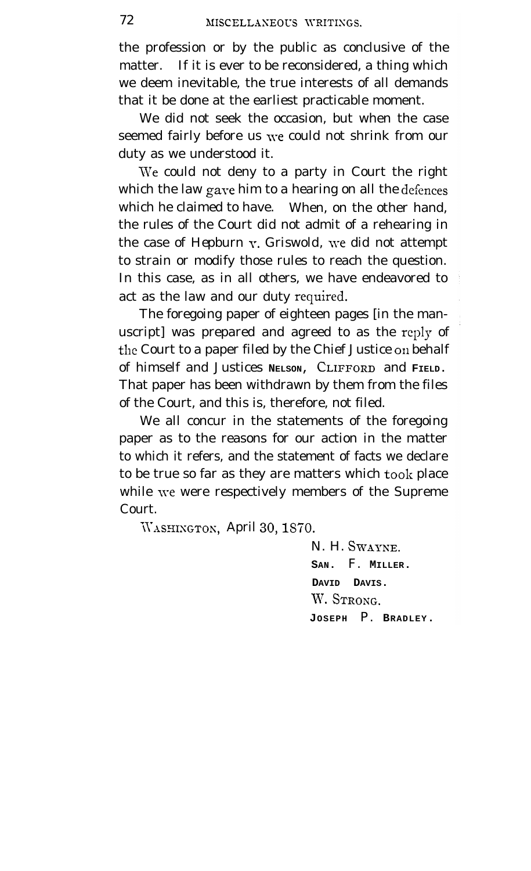the profession or by the public as conclusive of the matter. If it is ever to be reconsidered, a thing which we deem inevitable, the true interests of all demands that it be done at the earliest practicable moment.

We did not seek the occasion, but when the case seemed fairly before us we could not shrink from our duty as we understood it.

We could not deny to a party in Court the right which the law gave him to a hearing on all the defences which he claimed to have. When, on the other hand, the rules of the Court did not admit of a rehearing in the case of *Hepburn* v. *Griswold,* \ve did not attempt to strain or modify those rules to reach the question. In this case, as in all others, we have endeavored to act as the law and our duty required.

The foregoing paper of eighteen pages [in the manuscript] was prepared and agreed to as the reply of the Court to a paper filed by the Chief Justice on behalf of himself and Justices **NELSON, CLIFFORD** and **FIELD.** That paper has been withdrawn by them from the files of the Court, and this is, therefore, not filed.

We all concur in the statements of the foregoing paper as to the reasons for our action in the matter to which it refers, and the statement of facts we declare to be true so far as they are matters which took place while we were respectively members of the Supreme Court.

**WASHINGTON, April 30, 1870.** 

N. H. SWAYNE. **SAN.** F. **MILLER. DAVID DAVIS. W. STRONG. JOSEPH** P. **BRADLEY.**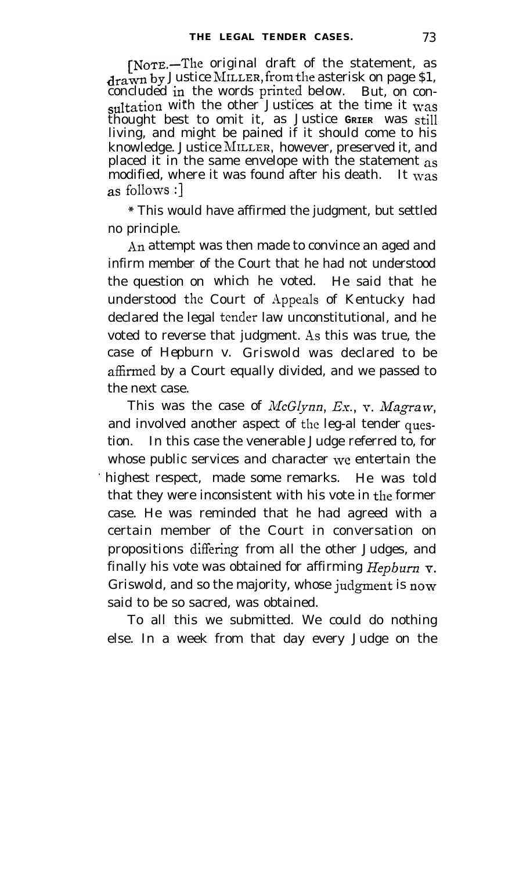[Note.-The original draft of the statement, as drawn by Justice MiLLER, from the asterisk on page \$1, concluded in the words printed below. But, on consultation with the other Justices at the time it  $_{\text{Was}}$ thought best to omit it, as Justice **GRIER** was still living, and might be pained if it should come to his knowledge. Justice MILLER, however, preserved it, and placed it in the same envelope with the statement  $\alpha$ s modified, where it was found after his death. It was **aS fOllOWS <sup>11</sup>**

\* This would have affirmed the judgment, but settled no principle.

An attempt was then made to convince an aged and infirm member of the Court that he had not understood the question on which he voted. He said that he understood the Court of Appeals of Kentucky had declared the legal tender law unconstitutional, and he voted to reverse that judgment. As this was true, the case of *Hepburn v. Griswold* was declared to be affirmed by a Court equally divided, and we passed to the next case.

This was the case of *McGlynn*, *Ex.*, *v. Magraw*, and involved another aspect of the leg-al tender question. In this case the venerable Judge referred to, for whose public services and character we entertain the ' highest respect, made some remarks. He was told that they were inconsistent with his vote in the former case. He was reminded that he had agreed with a certain member of the Court in conversation on propositions differing from all the other Judges, and finally his vote was obtained for affirming **Hepburn T.** *Griswold, and so the majority, whose judgment is now* said to be so sacred, was obtained.

To all this we submitted. We could do nothing else. In a week from that day every Judge on the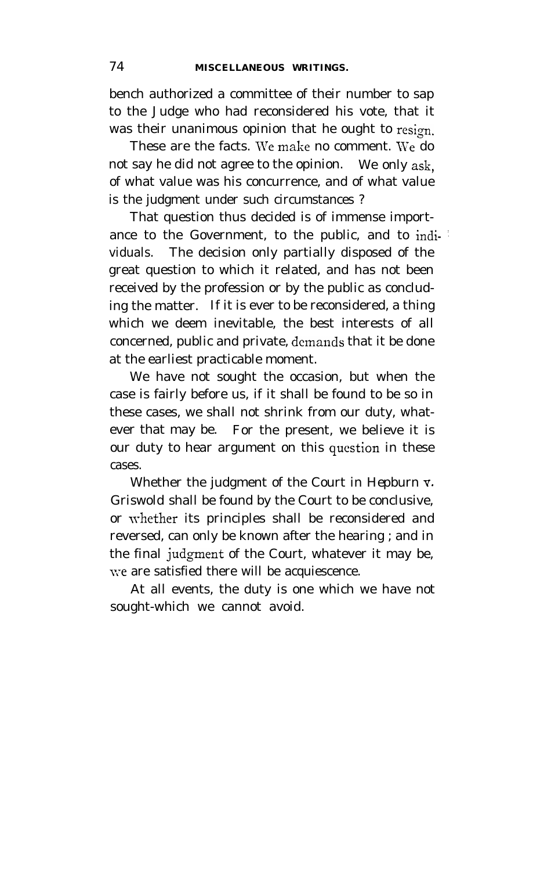bench authorized a committee of their number to sap to the Judge who had reconsidered his vote, that it was their unanimous opinion that he ought to resign.

These are the facts. We make no comment. We do not say he did not agree to the opinion. We only ash, of what value was his concurrence, and of what value is the judgment under such circumstances ?

That question thus decided is of immense importance to the Government, to the public, and to individuals. The decision only partially disposed of the great question to which it related, and has not been received by the profession or by the public as concluding the matter. If it is ever to be reconsidered, a thing which we deem inevitable, the best interests of all concerned, public and private, demands that it be done at the earliest practicable moment.

We have not sought the occasion, but when the case is fairly before us, if it shall be found to be so in these cases, we shall not shrink from our duty, whatever that may be. For the present, we believe it is our duty to hear argument on this question in these cases.

Whether the judgment of the Court in *Hepburn V. Griswold* shall be found by the Court to be conclusive, or whether its principles shall be reconsidered and reversed, can only be known after the hearing ; and in the final judgment of the Court, whatever it may be, we are satisfied there will be acquiescence.

At all events, the duty is one which we have not sought-which we cannot avoid.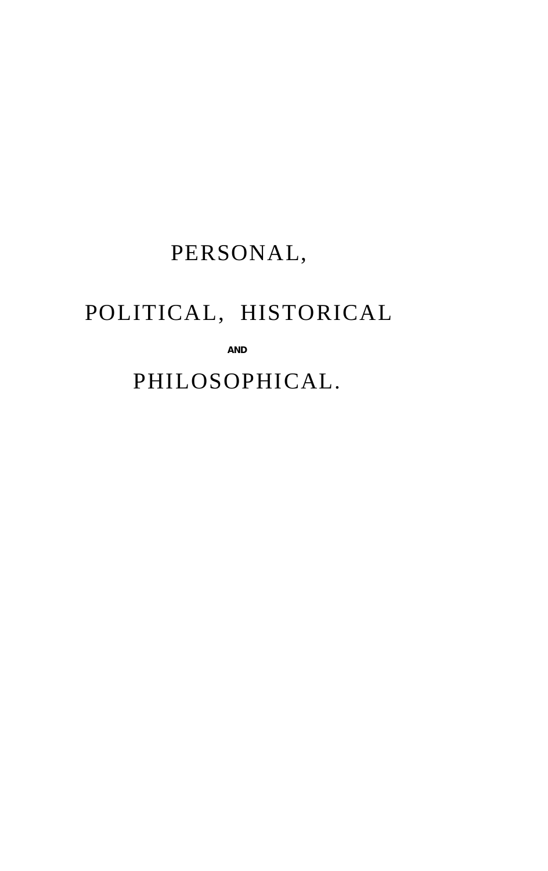## PERSONAL,

# POLITICAL, HISTORICAL

**AND**

## PHILOSOPHICAL.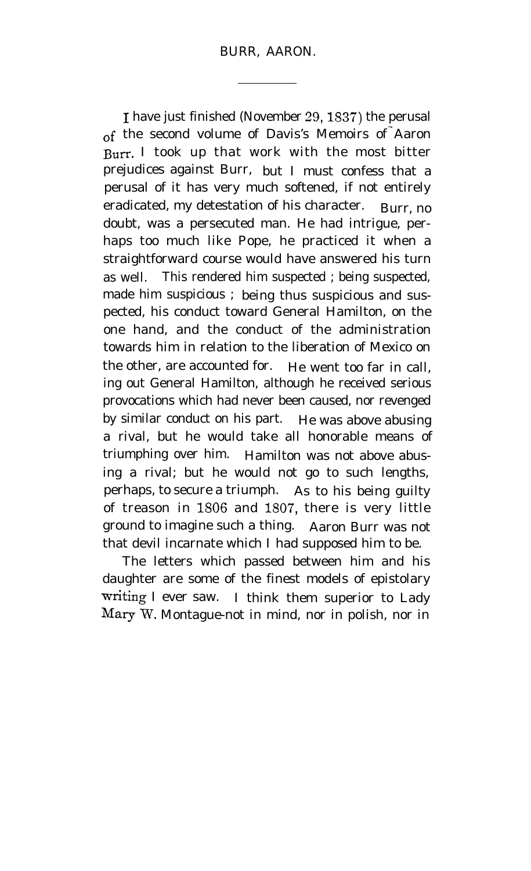I have just finished (November 29, 1837) the perusal of the second volume of Davis's Memoirs of Aaron Burr. I took up that work with the most bitter prejudices against Burr, but I must confess that a perusal of it has very much softened, if not entirely eradicated, my detestation of his character. Burr, no doubt, was a persecuted man. He had intrigue, perhaps too much like Pope, he practiced it when a straightforward course would have answered his turn as well. This rendered him suspected ; being suspected, made him suspicious ; being thus suspicious and suspected, his conduct toward General Hamilton, on the one hand, and the conduct of the administration towards him in relation to the liberation of Mexico on the other, are accounted for. He went too far in call, ing out General Hamilton, although he received serious provocations which had never been caused, nor revenged by similar conduct on his part. He was above abusing a rival, but he would take all honorable means of triumphing over him. Hamilton was not above abusing a rival; but he would not go to such lengths, perhaps, to secure a triumph. As to his being guilty of treason in 1806 and 1507, there is very little ground to imagine such a thing. Aaron Burr was not that devil incarnate which I had supposed him to be.

The letters which passed between him and his daughter are some of the finest models of epistolary writing I ever saw. I think them superior to Lady Mary W. Montague-not in mind, nor in polish, nor in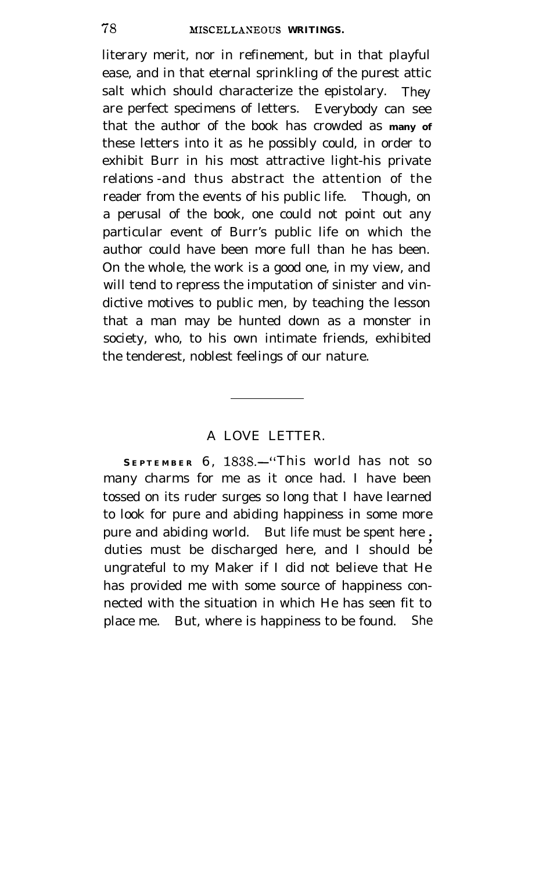literary merit, nor in refinement, but in that playful ease, and in that eternal sprinkling of the purest attic salt which should characterize the epistolary. They are perfect specimens of letters. Everybody can see that the author of the book has crowded as **many of** these letters into it as he possibly could, in order to exhibit Burr in his most attractive light-his private relations -and thus abstract the attention of the reader from the events of his public life. Though, on a perusal of the book, one could not point out any particular event of Burr's public life on which the author could have been more full than he has been. On the whole, the work is a good one, in my view, and will tend to repress the imputation of sinister and vindictive motives to public men, by teaching the lesson that a man may be hunted down as a monster in society, who, to his own intimate friends, exhibited the tenderest, noblest feelings of our nature.

## A LOVE LETTER.

SEPTEMBER 6, 1838.-"This world has not so many charms for me as it once had. I have been tossed on its ruder surges so long that I have learned to look for pure and abiding happiness in some more pure and abiding world. But life must be spent here ; duties must be discharged here, and I should be ungrateful to my Maker if I did not believe that He has provided me with some source of happiness connected with the situation in which He has seen fit to place me. But, where is happiness to be found. She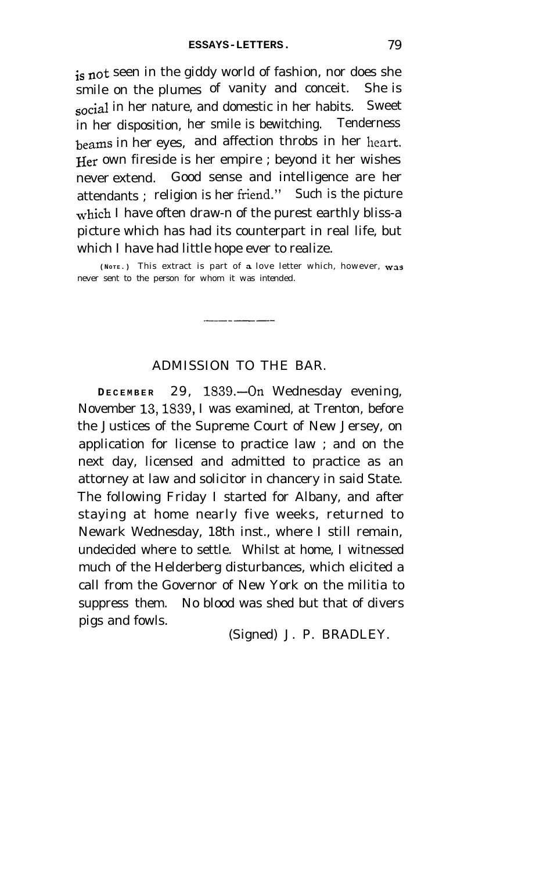is not seen in the giddy world of fashion, nor does she smile on the plumes of vanity and conceit. She is social in her nature, and domestic in her habits. Sweet in her disposition, her smile is bewitching. Tenderness beams in her eyes, and affection throbs in her heart Her own fireside is her empire ; beyond it her wishes never extend. Good sense and intelligence are her attendants ; religion is her friend." Such is the picture which I have often draw-n of the purest earthly bliss-a picture which has had its counterpart in real life, but which I have had little hope ever to realize.

**(NOTE.)** This extract is part of a love letter which, however, was never sent to the person for whom it was intended.

 $\frac{1}{2}$ 

### ADMISSION TO THE BAR.

DECEMBER 29, 1839. On Wednesday evening, November 13,1339, I was examined, at Trenton, before the Justices of the Supreme Court of New Jersey, on application for license to practice law ; and on the next day, licensed and admitted to practice as an attorney at law and solicitor in chancery in said State. The following Friday I started for Albany, and after staying at home nearly five weeks, returned to Newark Wednesday, 18th inst., where I still remain, undecided where to settle. Whilst at home, I witnessed much of the Helderberg disturbances, which elicited a call from the Governor of New York on the militia to suppress them. No blood was shed but that of divers pigs and fowls.

(Signed) J. P. BRADLEY.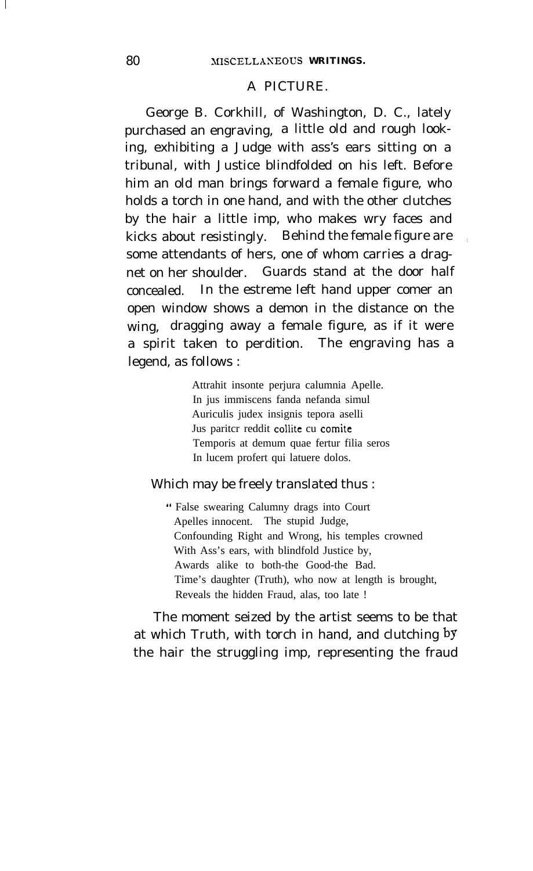## A PICTURE.

George B. Corkhill, of Washington, D. C., lately purchased an engraving, a little old and rough looking, exhibiting a Judge with ass's ears sitting on a tribunal, with Justice blindfolded on his left. Before him an old man brings forward a female figure, who holds a torch in one hand, and with the other clutches by the hair a little imp, who makes wry faces and kicks about resistingly. Behind the female figure are some attendants of hers, one of whom carries a dragnet on her shoulder. Guards stand at the door half concealed. In the estreme left hand upper comer an open window shows a demon in the distance on the wing, dragging away a female figure, as if it were a spirit taken to perdition. The engraving has a legend, as follows :

> Attrahit insonte perjura calumnia Apelle. In jus immiscens fanda nefanda simul Auriculis judex insignis tepora aselli Jus paritcr reddit collite cu comite Temporis at demum quae fertur filia seros In lucem profert qui latuere dolos.

#### Which may be freely translated thus :

" False swearing Calumny drags into Court Apelles innocent. The stupid Judge, Confounding Right and Wrong, his temples crowned With Ass's ears, with blindfold Justice by, Awards alike to both-the Good-the Bad. Time's daughter (Truth), who now at length is brought, Reveals the hidden Fraud, alas, too late !

The moment seized by the artist seems to be that at which Truth, with torch in hand, and clutching by the hair the struggling imp, representing the fraud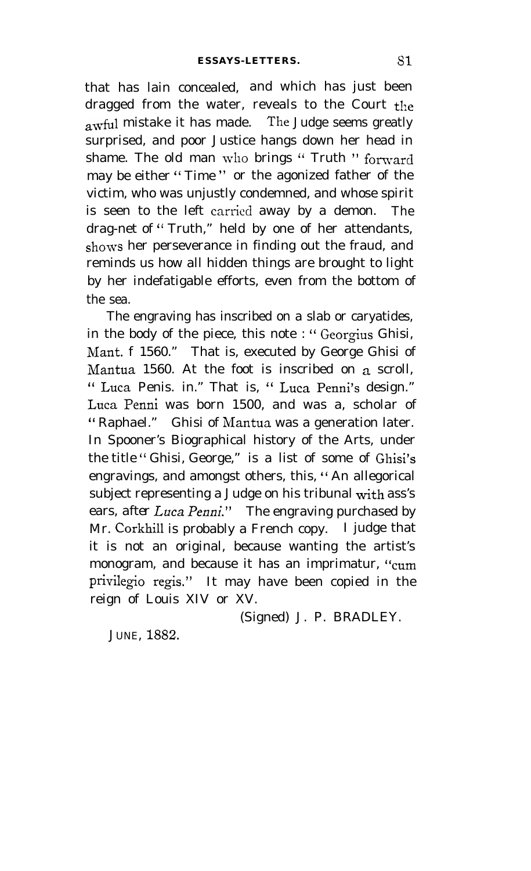that has lain concealed, and which has just been dragged from the water, reveals to the Court the awful mistake it has made. The Judge seems greatly surprised, and poor Justice hangs down her head in shame. The old man who brings " Truth " forward may be either " Time " or the agonized father of the victim, who was unjustly condemned, and whose spirit is seen to the left carried away by a demon. The drag-net of " Truth," held by one of her attendants, shows her perseverance in finding out the fraud, and reminds us how all hidden things are brought to light by her indefatigable efforts, even from the bottom of the sea.

The engraving has inscribed on a slab or caryatides, in the body of the piece, this note : " Georgius Ghisi, Mant. f 1560." That is, executed by George Ghisi of Mantua 1560. At the foot is inscribed on a scroll, " Luca Penis. in." That is, " Luca Penni's design." Luca Penni was born 1500, and was a, scholar of " Raphael." Ghisi of Mantua was a generation later. In Spooner's Biographical history of the Arts, under the title " Ghisi, George," is a list of some of Ghisi's engravings, and amongst others, this, "An allegorical subject representing a Judge on his tribunal with ass's ears, *after Luca Penni."* The engraving purchased by Mr. Corkhill is probably a French copy. I judge that it is not an original, because wanting the artist's monogram, and because it has an imprimatur, "cum privilegio regis." It may have been copied in the reign of Louis XIV or XV.

(Signed) J. P. BRADLEY.

JUNE, 1882.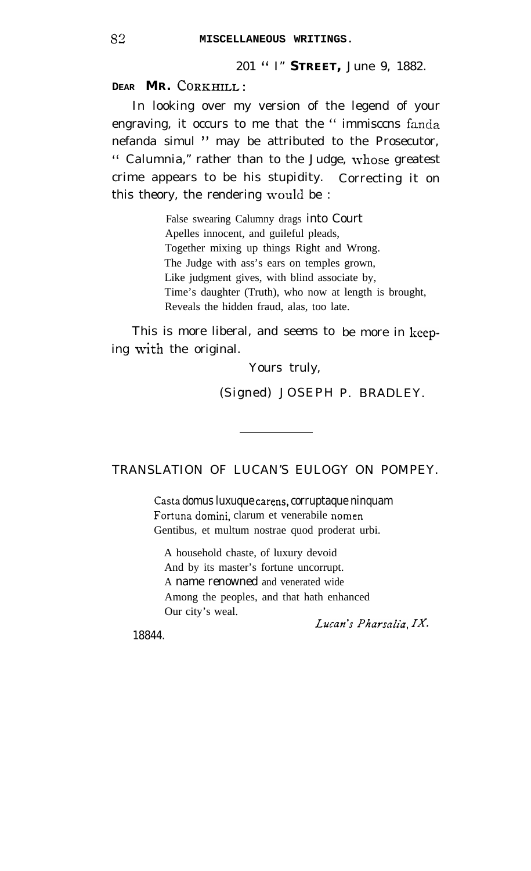201 **"** I" **STREET,** June 9, 1882.

**DEAR MR. CORKHILL:**

In looking over my version of the legend of your engraving, it occurs to me that the " immisccns fanda nefanda simul " may be attributed to the Prosecutor, " Calumnia," rather than to the Judge, whose greatest crime appears to be his stupidity. Correcting it on this theory, the rendering would be :

> False swearing Calumny drags into Court Apelles innocent, and guileful pleads, Together mixing up things Right and Wrong. The Judge with ass's ears on temples grown, Like judgment gives, with blind associate by, Time's daughter (Truth), who now at length is brought, Reveals the hidden fraud, alas, too late.

This is more liberal, and seems to be more in keep ing with the original.

Yours truly,

(Signed) JOSEPH P. BRADLEY.

## TRANSLATION OF LUCAN'S EULOGY ON POMPEY.

Casta domus luxuque carens, corruptaque ninquam Fortuna domini, clarum et venerabile nomen Gentibus, et multum nostrae quod proderat urbi.

A household chaste, of luxury devoid And by its master's fortune uncorrupt. A name renowned and venerated wide Among the peoples, and that hath enhanced Our city's weal.

*Lucan's Pkarsalia, IX.*

18844.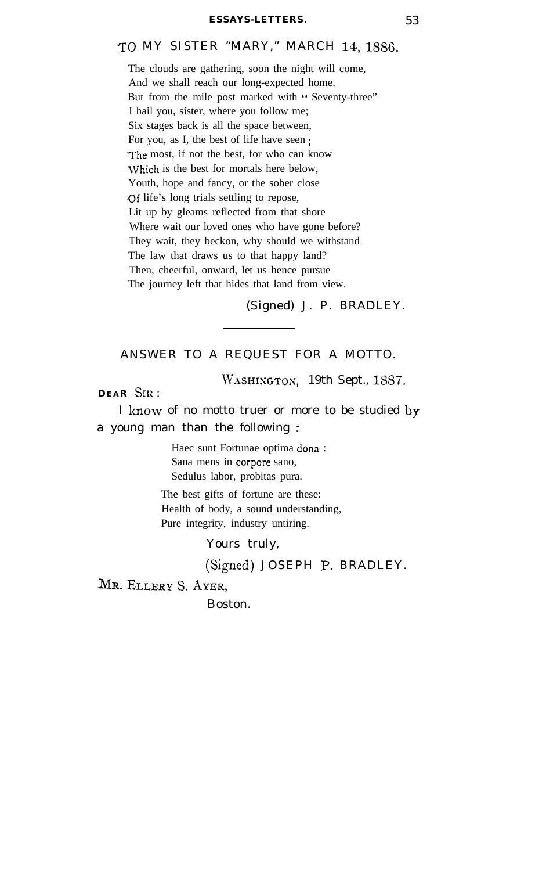#### TO MY SISTER "MARY," MARCH 14, 1886.

The clouds are gathering, soon the night will come, And we shall reach our long-expected home. But from the mile post marked with " Seventy-three" I hail you, sister, where you follow me; Six stages back is all the space between, For you, as I, the best of life have seen ; The most, if not the best, for who can know Which is the best for mortals here below, Youth, hope and fancy, or the sober close of life's long trials settling to repose, Lit up by gleams reflected from that shore Where wait our loved ones who have gone before? They wait, they beckon, why should we withstand The law that draws us to that happy land? Then, cheerful, onward, let us hence pursue The journey left that hides that land from view.

(Signed) J. P. BRADLEY.

ANSWER TO A REQUEST FOR A MOTTO.

WASHINGTON, 19th Sept., 1887.

**DE A R SrR:**

I know of no motto truer or more to be studied by a young man than the following :

> Haec sunt Fortunae optima dona : Sana mens in corpore sano, Sedulus labor, probitas pura.

The best gifts of fortune are these: Health of body, a sound understanding, Pure integrity, industry untiring.

Yours truly,

(Siped) JOSEPH P. BRADLEY.

MR. ELLERY S. AYER,

Boston.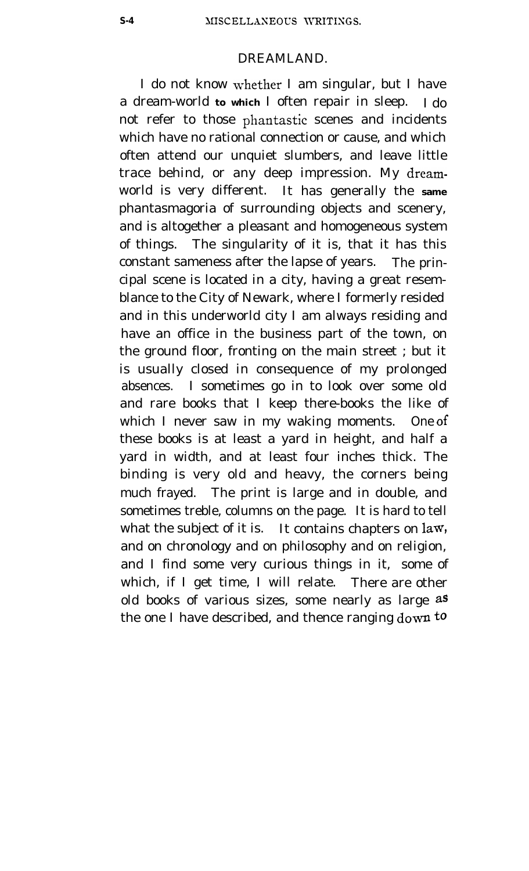#### DREAMLAND.

I do not know whether I am singular, but I have a dream-world **to which** I often repair in sleep. I do not refer to those phantastic scenes and incidents which have no rational connection or cause, and which often attend our unquiet slumbers, and leave little trace behind, or any deep impression. My dreamworld is very different. It has generally the **same** phantasmagoria of surrounding objects and scenery, and is altogether a pleasant and homogeneous system of things. The singularity of it is, that it has this constant sameness after the lapse of years. The principal scene is located in a city, having a great resemblance to the City of Newark, where I formerly resided and in this underworld city I am always residing and have an office in the business part of the town, on the ground floor, fronting on the main street ; but it is usually closed in consequence of my prolonged absences. I sometimes go in to look over some old and rare books that I keep there-books the like of which I never saw in my waking moments. One **of** these books is at least a yard in height, and half a yard in width, and at least four inches thick. The binding is very old and heavy, the corners being much frayed. The print is large and in double, and sometimes treble, columns on the page. It is hard to tell what the subject of it is. It contains chapters on law, and on chronology and on philosophy and on religion, and I find some very curious things in it, some of which, if I get time, I will relate. There are other old books of various sizes, some nearly as large as the one I have described, and thence ranging down to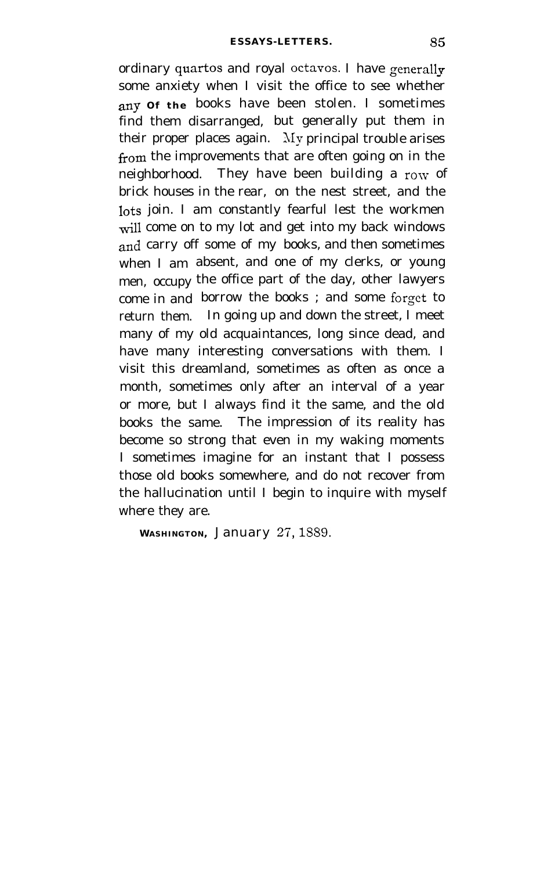ordinary quartos and royal octavos. I have generally some anxiety when I visit the office to see whether **any Of the** books have been stolen. I sometimes find them disarranged, but generally put them in their proper places again.  $My$  principal trouble arises from the improvements that are often going on in the neighborhood. They have been building a row of brick houses in the rear, on the nest street, and the lots join. I am constantly fearful lest the workmen will come on to my lot and get into my back windows and carry off some of my books, and then sometimes when I am absent, and one of my clerks, or young men, occupy the office part of the day, other lawyers come in and borrow the books ; and some forget to return them. In going up and down the street, I meet many of my old acquaintances, long since dead, and have many interesting conversations with them. I visit this dreamland, sometimes as often as once a month, sometimes only after an interval of a year or more, but I always find it the same, and the old books the same. The impression of its reality has become so strong that even in my waking moments I sometimes imagine for an instant that I possess those old books somewhere, and do not recover from the hallucination until I begin to inquire with myself where they are.

**<sup>W</sup>ASHINGTON,** January 27,lSS9.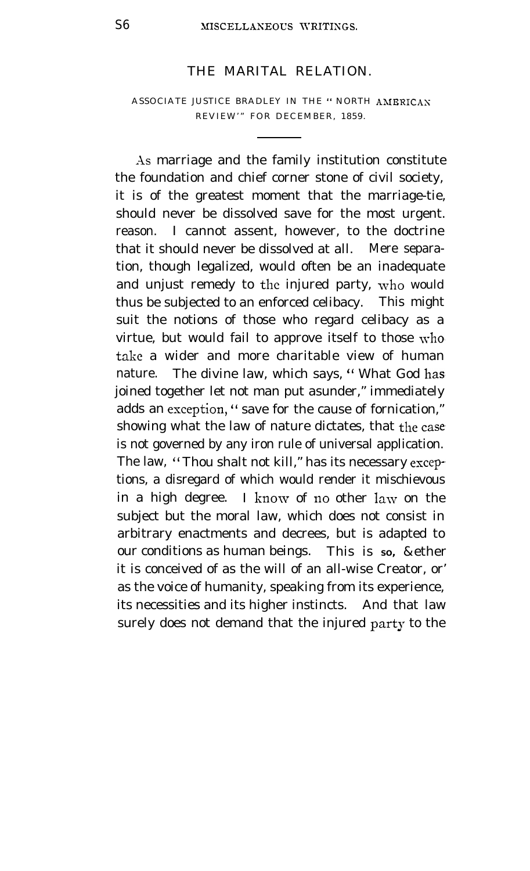### THE MARITAL RELATION.

#### ASSOCIATE JUSTICE BRADLEY IN THE " NORTH ANERICAX REVIEW'" FOR DECEMBER, 1859.

As marriage and the family institution constitute the foundation and chief corner stone of civil society, it is of the greatest moment that the marriage-tie, should never be dissolved save for the most urgent. reason. I cannot assent, however, to the doctrine that it should never be dissolved at all. Mere separation, though legalized, would often be an inadequate and unjust remedy to the injured party, who would thus be subjected to an enforced celibacy. This might suit the notions of those who regard celibacy as a virtue, but would fail to approve itself to those who take a wider and more charitable view of human nature. The divine law, which says, "What God has joined together let not man put asunder," immediately adds an exception, " save for the cause of fornication," showing what the law of nature dictates, that the case' is not governed by any iron rule of universal application. The law, "Thou shalt not kill," has its necessary exceptions, a disregard of which would render it mischievous in a high degree. I know of no other law on the subject but the moral law, which does not consist in arbitrary enactments and decrees, but is adapted to our conditions as human beings. This is so, &ether it is conceived of as the will of an all-wise Creator, or' as the voice of humanity, speaking from its experience, its necessities and its higher instincts. And that law surely does not demand that the injured party to the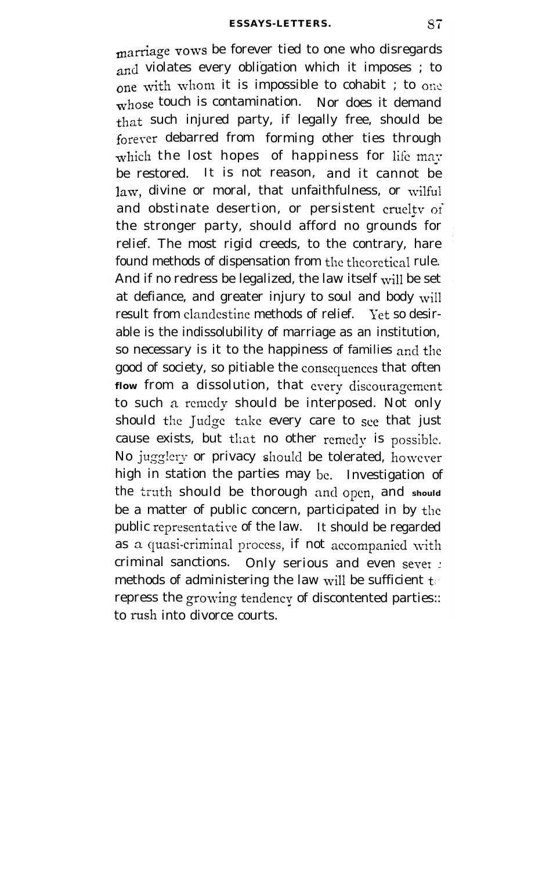marriage vows be forever tied to one who disregards . and violates every obligation which it imposes ; to one with whom it is impossible to cohabit ; to one whose touch is contamination. Nor does it demand that such injured party, if legally free, should be forever debarred from forming other ties through which the lost hopes of happiness for life may be restored. It is not reason, and it cannot be law, divine or moral, that unfaithfulness, or wilful and obstinate desertion, or persistent cruelty of the stronger party, should afford no grounds for relief. The most rigid creeds, to the contrary, hare found methods of dispensation from the thcorctical rule. And if no redress be legalized, the law itself will be set at defiance, and greater injury to soul and body will result from clandestine methods of relief. Yet so desirable is the indissolubility of marriage as an institution, so necessary is it to the happiness of families and the good of society, so pitiable the conscquenccs that often **flow** from a dissolution, that every discouragcmcnt to such a remedy should be interposed. Not only should the Judge take every care to see that just cause exists, but that no other remedy is possible. No jugglery or privacy should be tolerated, however high in station the parties may be. Investigation of the truth should be thorough and open, and should be a matter of public concern, participated in by the public representative of the law. It should be regarded as a quasi-criminal process, if not accompanied with criminal sanctions. Only serious and even sever : methods of administering the law will be sufficient t:. repress the growing tendency of discontented parties:: to rush into divorce courts.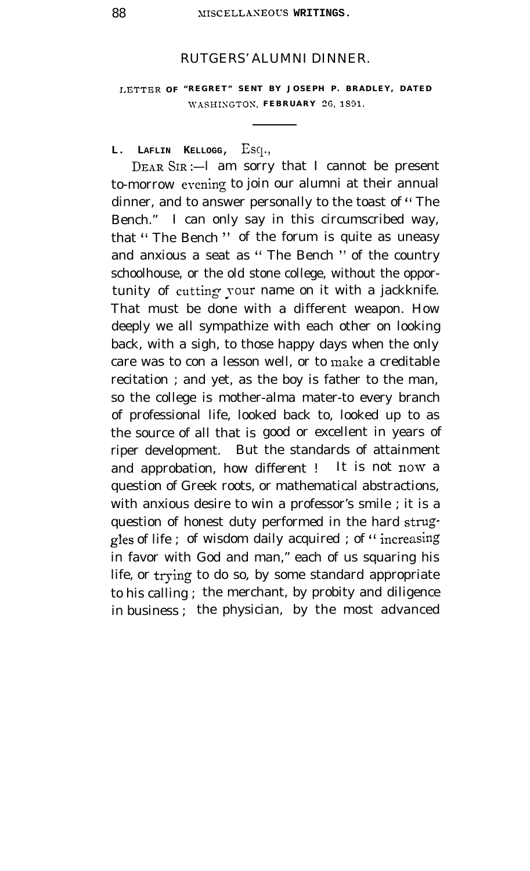#### RUTGERS' ALUMNI DINNER.

**I,ETTER OF "REGRET" SENT BY JOSEPH P. BRADLEY, DATED WASHISGTOS, FEBRUARY 2G, 1SOl.**

L. LAFLIN KELLOGG,  $ESQ.,$ 

**DEARSIR:-**I am sorry that I cannot be present to-morrow evening to join our alumni at their annual dinner, and to answer personally to the toast of "The Bench." I can only say in this circumscribed way, that " The Bench " of the forum is quite as uneasy and anxious a seat as " The Bench " of the country schoolhouse, or the old stone college, without the opportunity of cutting your name on it with a jackknife. That must be done with a different weapon. How deeply we all sympathize with each other on looking back, with a sigh, to those happy days when the only care was to con a lesson well, or to make a creditable recitation ; and yet, as the boy is father to the man, so the college is mother-alma mater-to every branch of professional life, looked back to, looked up to as the source of all that is good or excellent in years of riper development. But the standards of attainment and approbation, how different ! It is not now a question of Greek roots, or mathematical abstractions, with anxious desire to win a professor's smile ; it is a question of honest duty performed in the hard struggles of life ; of wisdom daily acquired ; of " increasing in favor with God and man," each of us squaring his life, or trying to do so, by some standard appropriate to his calling ; the merchant, by probity and diligence in business ; the physician, by the most advanced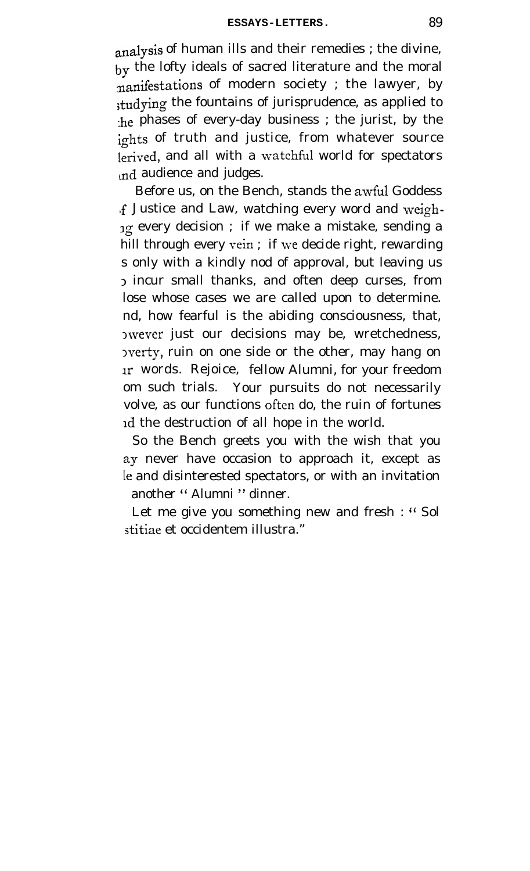#### ESSAYS-LETTERS. 89

**analysis** of human ills and their remedies ; the divine,  $_{\text{bv}}$  the lofty ideals of sacred literature and the moral manifestations of modern society ; the lawyer, by studying the fountains of jurisprudence, as applied to ;he phases of every-day business ; the jurist, by the ights of truth and justice, from whatever source lerived, and all with a watchful world for spectators Ind audience and judges.

Before us, on the Bench, stands the awful Goddess ,f Justice and Law, watching every word and tveigh-1g every decision ; if we make a mistake, sending a hill through every vein ; if we decide right, rewarding s only with a kindly nod of approval, but leaving us I incur small thanks, and often deep curses, from lose whose cases we are called upon to determine. nd, how fearful is the abiding consciousness, that, xvever just our decisions may be, wretchedness, xerty, ruin on one side or the other, may hang on x words. Rejoice, fellow Alumni, for your freedom om such trials. Your pursuits do not necessarily volve, as our functions often do, the ruin of fortunes Id the destruction of all hope in the world.

So the Bench greets you with the wish that you ay never have occasion to approach it, except as le and disinterested spectators, or with an invitation another " Alumni " dinner.

Let me give you something new and fresh : " Sol stitiae et occidentem illustra."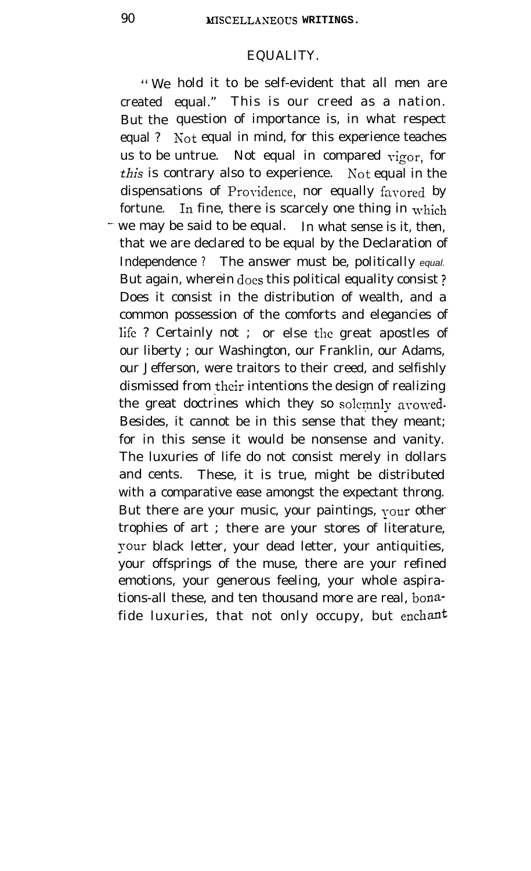#### EQUALITY.

*" We* hold it to be self-evident that all men are created equal." This is our creed as a nation. But the question of importance is, in what respect equal ? Not equal in mind, for this experience teaches us to be untrue. Not equal in compared yigor, for this is contrary also to experience. Not equal in the dispensations of Providence, nor equally favored by fortune. In fine, there is scarcely one thing in  $\psi$ hich we may be said to be equal. In what sense is it, then, that we are declared to be equal by the Declaration of Independence ? The answer must be, *politically equal.* But again, wherein does this political equality consist ? Does it consist in the distribution of wealth, and a common possession of the comforts and elegancies of life ? Certainly not ; or else the great apostles of our liberty ; our Washington, our Franklin, our Adams, our Jefferson, were traitors to their creed, and selfishly dismissed from their intentions the design of realizing the great doctrines which they so solemnly avowed-Besides, it cannot be in this sense that they meant; for in this sense it would be nonsense and vanity. The luxuries of life do not consist merely in dollars and cents. These, it is true, might be distributed with a comparative ease amongst the expectant throng. But there are your music, your paintings,  $\frac{1}{2}$  your other trophies of art ; there are your stores of literature, Four black letter, your dead letter, your antiquities, your offsprings of the muse, there are your refined emotions, your generous feeling, your whole aspirations-all these, and ten thousand more are real, bonafide luxuries, that not only occupy, but enchant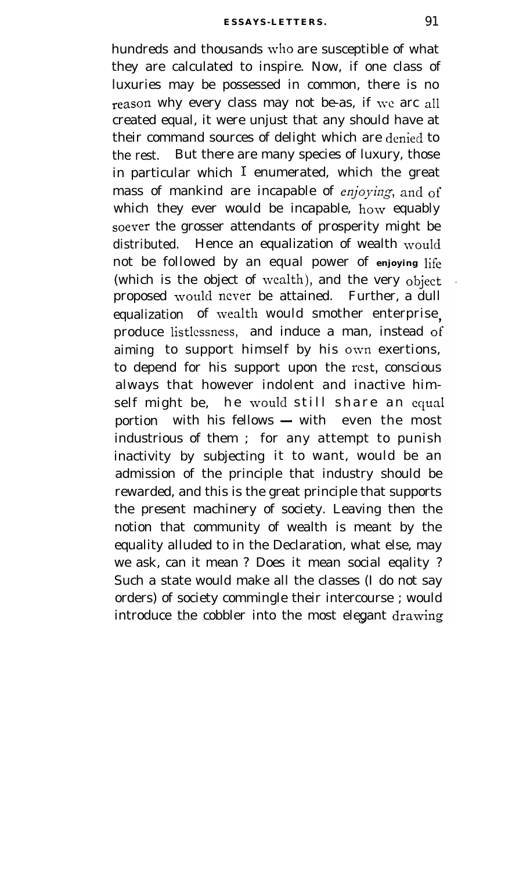hundreds and thousands **who** are susceptible of what they are calculated to inspire. Now, if one class of luxuries may be possessed in common, there is no reason why every class may not be-as, if we arc all created equal, it were unjust that any should have at their command sources of delight which are denied to the rest. But there are many species of luxury, those in particular which  $I$  enumerated, which the great mass of mankind are *incapable of enjoying, and of* which they ever would be incapable, how equably soever the grosser attendants of prosperity might be distributed. Hence an equalization of wealth would not be followed by an equal power of **enjoying** life (which is the object of wealth), and the very **object** proposed would never be attained. Further, a dull equalization of xealth would smother enterprise produce listlessness, and induce a man, instead of aiming to support himself by his own exertions, to depend for his support upon the rest, conscious always that however indolent and inactive himself might be, he would still share an equal portion with his fellows  $-$  with even the most industrious of them ; for any attempt to punish inactivity by subjecting it to want, would be an admission of the principle that industry should be rewarded, and this is the great principle that supports the present machinery of society. Leaving then the notion that community of wealth is meant by the equality alluded to in the Declaration, what else, may we ask, can it mean ? Does it mean social eqality ? Such a state would make all the classes (I do not say orders) of society commingle their intercourse ; would introduce the cobbler into the most elegant drawing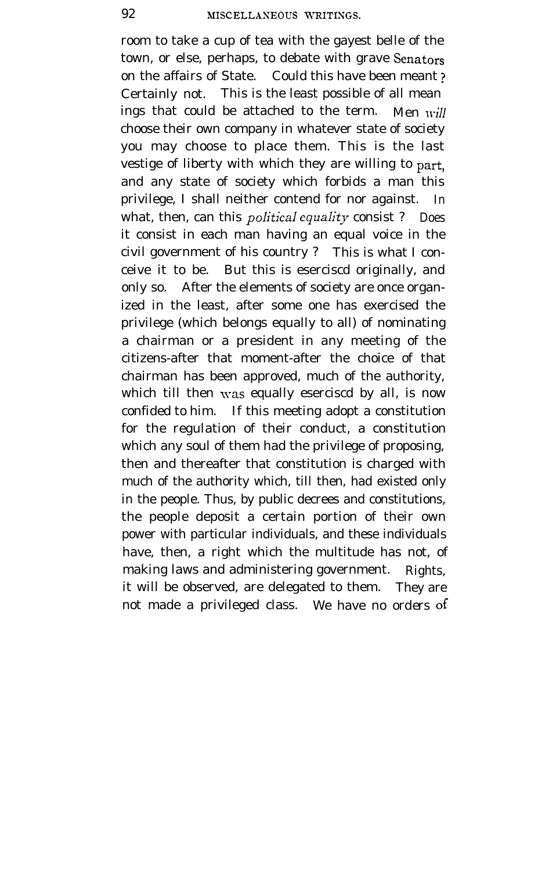room to take a cup of tea with the gayest belle of the town, or else, perhaps, to debate with grave *Senators* on the affairs of State. Could this have been meant ? Certainly not. This is the least possible of all mean ings that could be attached to the term. Men *will* choose their own company in whatever state of society you may choose to place them. This is the last vestige of liberty with which they are willing to part, and any state of society which forbids a man this privilege, I shall neither contend for nor against. In what, then, can this *political equality* consist ? Does it consist in each man having an equal voice in the civil government of his country ? This is what I conceive it to be. But this is eserciscd originally, and only so. After the elements of society are once organized in the least, after some one has exercised the privilege (which belongs equally to all) of nominating a chairman or a president in any meeting of the citizens-after that moment-after the choice of that chairman has been approved, much of the authority, which till then was equally eserciscd by all, is now confided to him. If this meeting adopt a constitution for the regulation of their conduct, a constitution which any soul of them had the privilege of proposing, then and thereafter that constitution is charged with much of the authority which, till then, had existed only in the people. Thus, by public decrees and constitutions, the people deposit a certain portion of their own power with particular individuals, and these individuals have, then, a right which the multitude has not, of making laws and administering government. Rights, it will be observed, are delegated to them. They are not made a privileged class. *We* have *no orders of*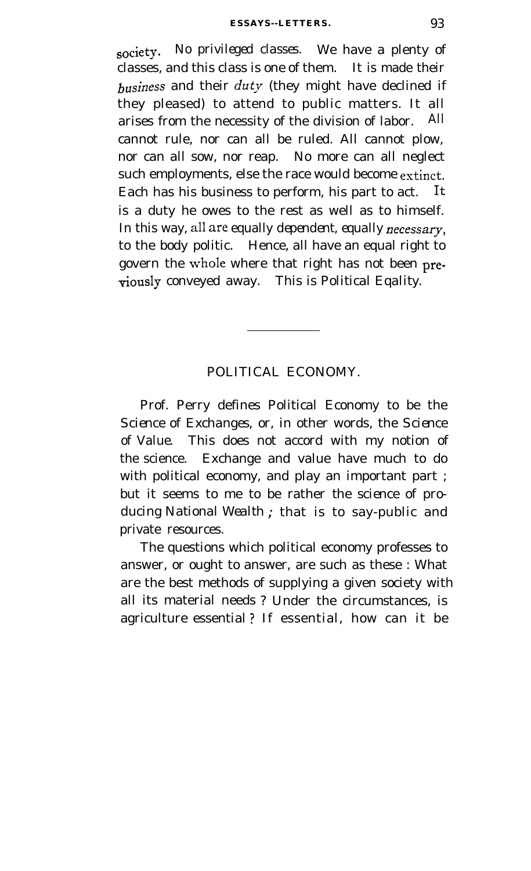society. No privileged classes. We have a plenty of classes, and this class is one of them. It is made their business and their  $duty$  (they might have declined if they pleased) to attend to public matters. It all arises from the necessity of the division of labor. All cannot rule, nor can all be ruled. All cannot plow, nor can all sow, nor reap. No more can all neglect such employments, else the race would become extinct. Each has his business to perform, his part to act. It is a duty he owes to the rest as well as to himself. In this way, *all are* equally *dependent, equally necessary,* to the body politic. Hence, all have an equal right to govern the whole where that right has not been previouslp conveyed away. This is *Political Eqality.*

## POLITICAL ECONOMY.

Prof. Perry defines Political Economy to be the *Science of Exchanges,* or, in other words, the *Science of Value.* This does not accord with my notion of the science. Exchange and value have much to do with political economy, and play an important part ; but it seems to me to be rather *the science of producing National Wealth ;* that is to say-public and private resources.

The questions which political economy professes to answer, or ought to answer, are such as these : What are the best methods of supplying a given society with all its material needs ? Under the circumstances, is agriculture essential ? If essential, how can it be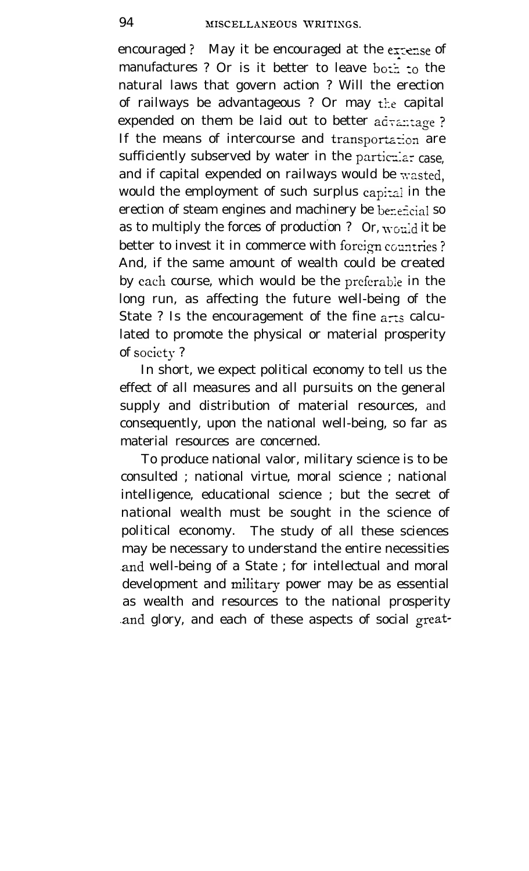encouraged ? May it be encouraged at the extense of manufactures ? Or is it better to leave both to the natural laws that govern action ? Will the erection of railways be advantageous ? Or may the capital expended on them be laid out to better  $a\bar{a}$  and  $\bar{c}$ ? If the means of intercourse and transportation are sufficiently subserved by water in the particular case. and if capital expended on railways would be wasted, would the employment of such surplus capital in the erection of steam engines and machinery be beneficial so as to multiply the forces of production ? Or, would it be better to invest it in commerce with foreign countries ? And, if the same amount of wealth could be created by each course, which would be the preferable in the long run, as affecting the future well-being of the State ? Is the encouragement of the fine arts calculated to promote the physical or material prosperity of society ?

In short, we expect political economy to tell us the effect of all measures and all pursuits on the general supply and distribution of material resources, and consequently, upon the national well-being, so far as material resources are concerned.

To produce national valor, military science is to be consulted ; national virtue, moral science ; national intelligence, educational science ; but the secret of national wealth must be sought in the science of political economy. The study of all these sciences may be necessary to understand the entire necessities .and well-being of a State ; for intellectual and moral development and military power may be as essential as wealth and resources to the national prosperity .and glory, and each of these aspects of social great-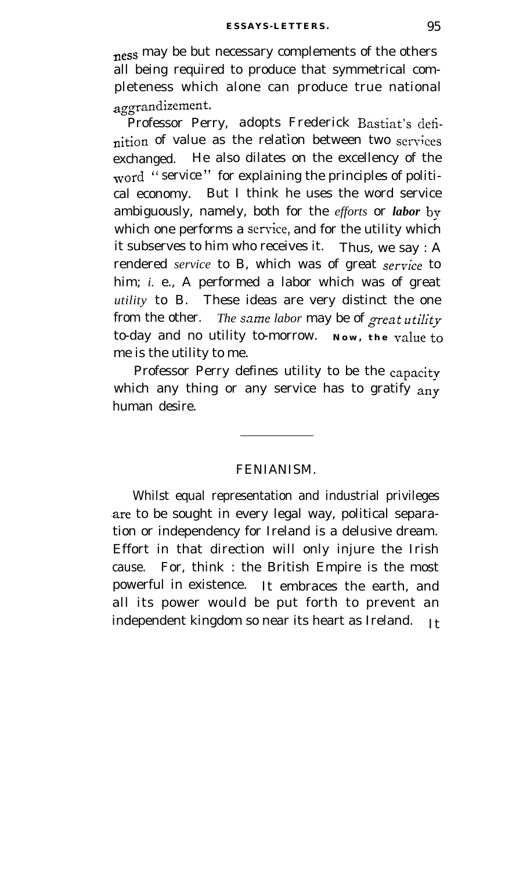ness may be but necessary complements of the others . all being required to produce that symmetrical completeness which alone can produce true national aggrandizement.

Professor Perry, adopts Frederick Bastiat's defi-. nition of value as the relation between two services exchanged. He also dilates on the excellency of the word " service" for explaining the principles of political economy. But I think he uses the word service ambiguously, namely, both for the *efforts* or *labor by* which one performs a service, and for the utility which it subserves to him who receives it. Thus, we say : A rendered *service* to B, which was of great service to him; *i.* e., A performed a labor which was of great *utility* to B. These ideas are very distinct the one from the other. *The same labor* may be of great utility to-day and no utility to-morrow. **Now, the value to** me is the utility to me.

Professor Perry defines utility to be the **capacity** which any thing or any service has to gratify **any** human desire.

## FENIANISM.

Whilst equal representation and industrial privileges are to be sought in every legal way, political separation or independency for Ireland is a delusive dream. Effort in that direction will only injure the Irish cause. For, think : the British Empire is the most powerful in existence. It embraces the earth, and all its power would be put forth to prevent an independent kingdom so near its heart as Ireland.  $I_t$